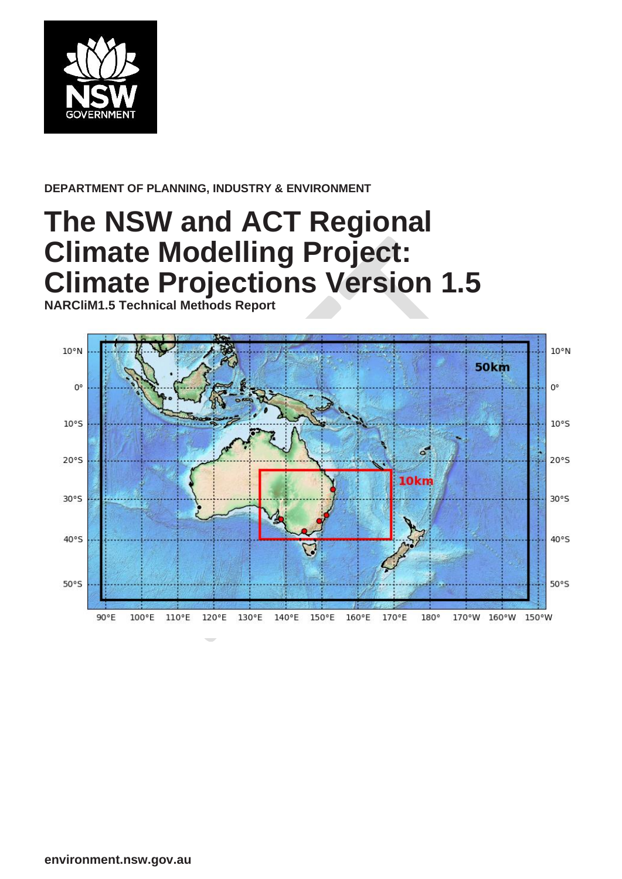

#### **DEPARTMENT OF PLANNING, INDUSTRY & ENVIRONMENT**

# **The NSW and ACT Regional Climate Modelling Project: Climate Projections Version 1.5**

**NARCliM1.5 Technical Methods Report**

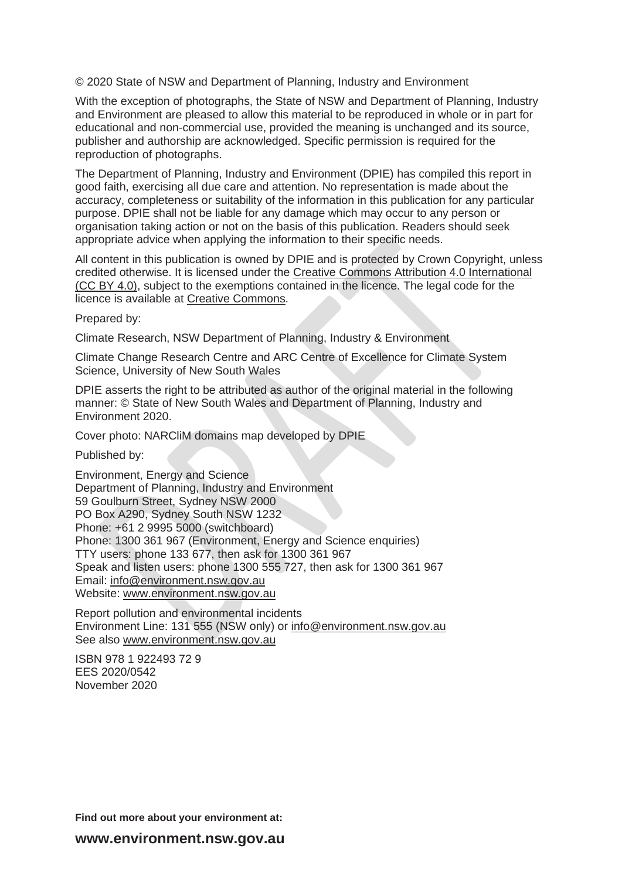© 2020 State of NSW and Department of Planning, Industry and Environment

With the exception of photographs, the State of NSW and Department of Planning, Industry and Environment are pleased to allow this material to be reproduced in whole or in part for educational and non-commercial use, provided the meaning is unchanged and its source, publisher and authorship are acknowledged. Specific permission is required for the reproduction of photographs.

The Department of Planning, Industry and Environment (DPIE) has compiled this report in good faith, exercising all due care and attention. No representation is made about the accuracy, completeness or suitability of the information in this publication for any particular purpose. DPIE shall not be liable for any damage which may occur to any person or organisation taking action or not on the basis of this publication. Readers should seek appropriate advice when applying the information to their specific needs.

All content in this publication is owned by DPIE and is protected by Crown Copyright, unless credited otherwise. It is licensed under the [Creative Commons Attribution 4.0 International](http://creativecommons.org/licenses/by/4.0/deed.en)  [\(CC BY 4.0\),](http://creativecommons.org/licenses/by/4.0/deed.en) subject to the exemptions contained in the licence. The legal code for the licence is available at [Creative Commons.](http://creativecommons.org/licenses/by/4.0/legalcode)

Prepared by:

Climate Research, NSW Department of Planning, Industry & Environment

Climate Change Research Centre and ARC Centre of Excellence for Climate System Science, University of New South Wales

DPIE asserts the right to be attributed as author of the original material in the following manner: © State of New South Wales and Department of Planning, Industry and Environment 2020.

Cover photo: NARCliM domains map developed by DPIE

Published by:

Environment, Energy and Science Department of Planning, Industry and Environment 59 Goulburn Street, Sydney NSW 2000 PO Box A290, Sydney South NSW 1232 Phone: +61 2 9995 5000 (switchboard) Phone: 1300 361 967 (Environment, Energy and Science enquiries) TTY users: phone 133 677, then ask for 1300 361 967 Speak and listen users: phone 1300 555 727, then ask for 1300 361 967 Email: [info@environment.nsw.gov.au](mailto:info@environment.nsw.gov.au) Website: [www.environment.nsw.gov.au](http://www.environment.nsw.gov.au/)

Report pollution and environmental incidents Environment Line: 131 555 (NSW only) or [info@environment.nsw.gov.au](mailto:info@environment.nsw.gov.au) See also [www.environment.nsw.gov.au](http://www.environment.nsw.gov.au/)

ISBN 978 1 922493 72 9 EES 2020/0542 November 2020

**Find out more about your environment at:**

**www.environment.nsw.gov.au**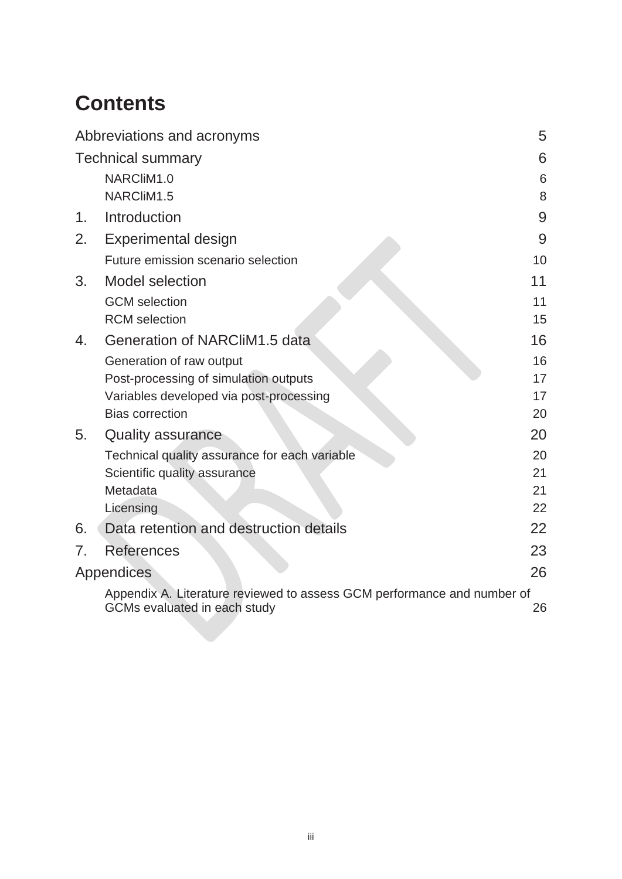# **Contents**

|                | Abbreviations and acronyms                                              | 5  |
|----------------|-------------------------------------------------------------------------|----|
|                | <b>Technical summary</b>                                                | 6  |
|                | NARCliM1.0                                                              | 6  |
|                | NARCliM1.5                                                              | 8  |
| 1.             | Introduction                                                            | 9  |
| 2.             | <b>Experimental design</b>                                              | 9  |
|                | Future emission scenario selection                                      | 10 |
| 3 <sub>1</sub> | <b>Model selection</b>                                                  | 11 |
|                | <b>GCM</b> selection                                                    | 11 |
|                | <b>RCM</b> selection                                                    | 15 |
| 4.             | Generation of NARCliM1.5 data                                           | 16 |
|                | Generation of raw output                                                | 16 |
|                | Post-processing of simulation outputs                                   | 17 |
|                | Variables developed via post-processing                                 | 17 |
|                | <b>Bias correction</b>                                                  | 20 |
| 5.             | <b>Quality assurance</b>                                                | 20 |
|                | Technical quality assurance for each variable                           | 20 |
|                | Scientific quality assurance                                            | 21 |
|                | Metadata                                                                | 21 |
|                | Licensing                                                               | 22 |
| 6.             | Data retention and destruction details                                  | 22 |
| 7 <sub>1</sub> | <b>References</b>                                                       | 23 |
|                | Appendices                                                              | 26 |
|                | Appendix A. Literature reviewed to assess GCM performance and number of |    |
|                | GCMs evaluated in each study                                            | 26 |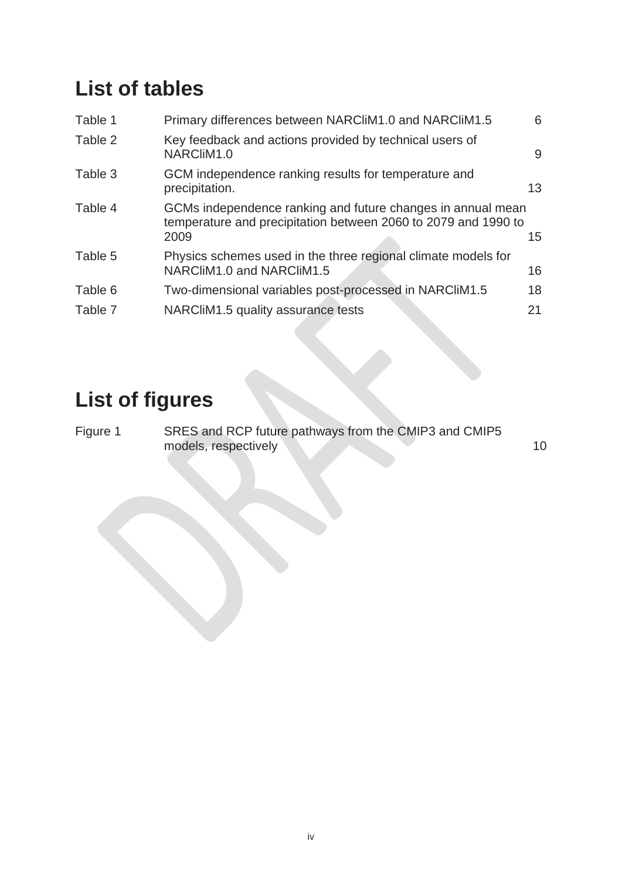## **List of tables**

| Table 1 | Primary differences between NARCIIM1.0 and NARCIIM1.5                                                                                 | 6  |
|---------|---------------------------------------------------------------------------------------------------------------------------------------|----|
| Table 2 | Key feedback and actions provided by technical users of<br>NARCliM1.0                                                                 | 9  |
| Table 3 | GCM independence ranking results for temperature and<br>precipitation.                                                                | 13 |
| Table 4 | GCMs independence ranking and future changes in annual mean<br>temperature and precipitation between 2060 to 2079 and 1990 to<br>2009 | 15 |
| Table 5 | Physics schemes used in the three regional climate models for<br>NARCliM1.0 and NARCliM1.5                                            | 16 |
| Table 6 | Two-dimensional variables post-processed in NARCliM1.5                                                                                | 18 |
| Table 7 | NARCliM1.5 quality assurance tests                                                                                                    | 21 |
|         |                                                                                                                                       |    |

# **List of figures**

Figure 1 [SRES and RCP future pathways from the CMIP3 and CMIP5](#page-9-1)  [models, respectively](#page-9-1) 10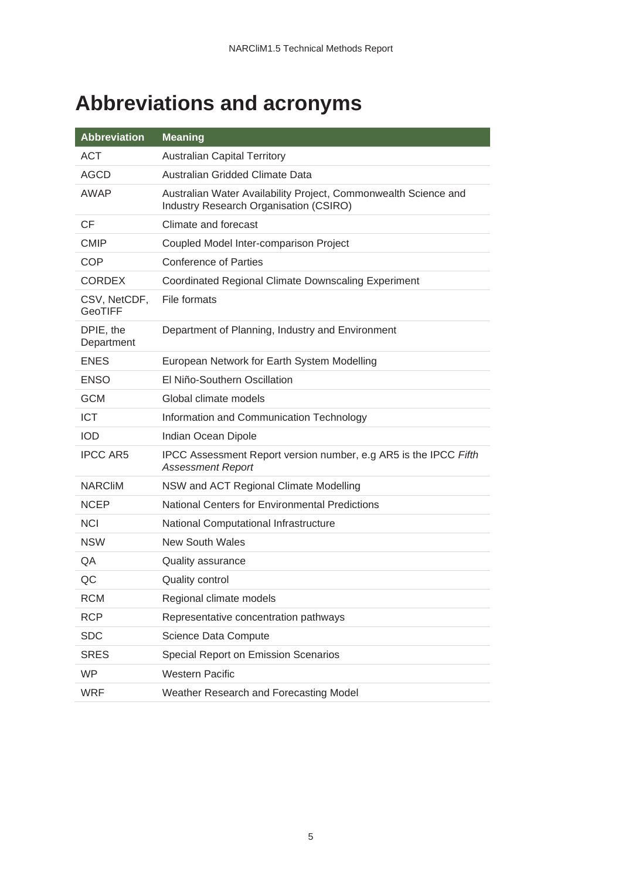# <span id="page-4-0"></span>**Abbreviations and acronyms**

| <b>Abbreviation</b>            | <b>Meaning</b>                                                                                            |
|--------------------------------|-----------------------------------------------------------------------------------------------------------|
| <b>ACT</b>                     | <b>Australian Capital Territory</b>                                                                       |
| AGCD                           | Australian Gridded Climate Data                                                                           |
| AWAP                           | Australian Water Availability Project, Commonwealth Science and<br>Industry Research Organisation (CSIRO) |
| <b>CF</b>                      | Climate and forecast                                                                                      |
| <b>CMIP</b>                    | Coupled Model Inter-comparison Project                                                                    |
| <b>COP</b>                     | <b>Conference of Parties</b>                                                                              |
| <b>CORDEX</b>                  | <b>Coordinated Regional Climate Downscaling Experiment</b>                                                |
| CSV, NetCDF,<br><b>GeoTIFF</b> | File formats                                                                                              |
| DPIE, the<br>Department        | Department of Planning, Industry and Environment                                                          |
| <b>ENES</b>                    | European Network for Earth System Modelling                                                               |
| <b>ENSO</b>                    | El Niño-Southern Oscillation                                                                              |
| <b>GCM</b>                     | Global climate models                                                                                     |
| <b>ICT</b>                     | Information and Communication Technology                                                                  |
| <b>IOD</b>                     | Indian Ocean Dipole                                                                                       |
| <b>IPCC AR5</b>                | IPCC Assessment Report version number, e.g AR5 is the IPCC Fifth<br><b>Assessment Report</b>              |
| <b>NARCIM</b>                  | NSW and ACT Regional Climate Modelling                                                                    |
| <b>NCEP</b>                    | <b>National Centers for Environmental Predictions</b>                                                     |
| <b>NCI</b>                     | National Computational Infrastructure                                                                     |
| <b>NSW</b>                     | <b>New South Wales</b>                                                                                    |
| QA                             | Quality assurance                                                                                         |
| QC                             | <b>Quality control</b>                                                                                    |
| <b>RCM</b>                     | Regional climate models                                                                                   |
| <b>RCP</b>                     | Representative concentration pathways                                                                     |
| <b>SDC</b>                     | Science Data Compute                                                                                      |
| <b>SRES</b>                    | Special Report on Emission Scenarios                                                                      |
| <b>WP</b>                      | <b>Western Pacific</b>                                                                                    |
| <b>WRF</b>                     | Weather Research and Forecasting Model                                                                    |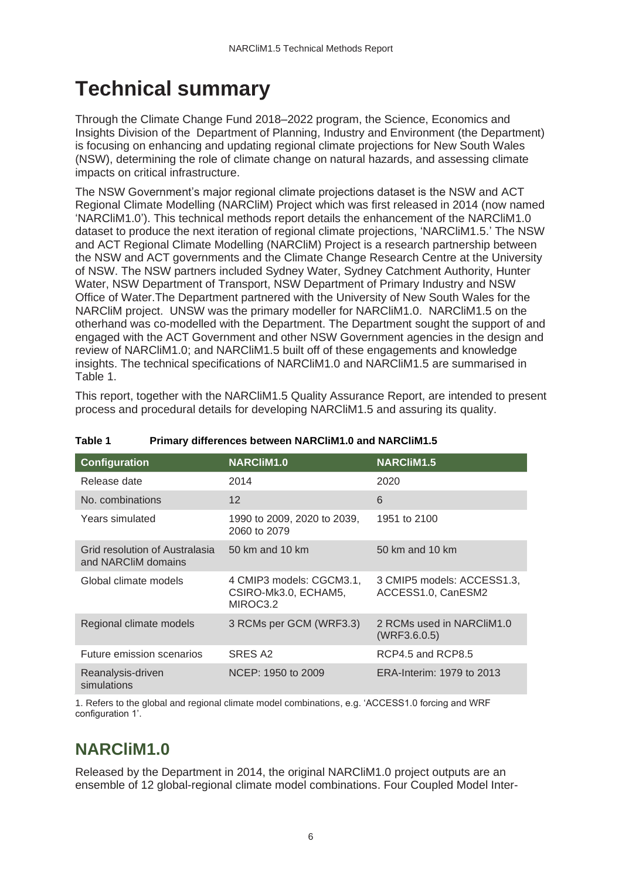# <span id="page-5-0"></span>**Technical summary**

Through the Climate Change Fund 2018–2022 program, the Science, Economics and Insights Division of the Department of Planning, Industry and Environment (the Department) is focusing on enhancing and updating regional climate projections for New South Wales (NSW), determining the role of climate change on natural hazards, and assessing climate impacts on critical infrastructure.

The NSW Government's major regional climate projections dataset is the NSW and ACT Regional Climate Modelling (NARCliM) Project which was first released in 2014 (now named 'NARCliM1.0'). This technical methods report details the enhancement of the NARCliM1.0 dataset to produce the next iteration of regional climate projections, 'NARCliM1.5.' The NSW and ACT Regional Climate Modelling (NARCliM) Project is a research partnership between the NSW and ACT governments and the Climate Change Research Centre at the University of NSW. The NSW partners included Sydney Water, Sydney Catchment Authority, Hunter Water, NSW Department of Transport, NSW Department of Primary Industry and NSW Office of Water.The Department partnered with the University of New South Wales for the NARCliM project. UNSW was the primary modeller for NARCliM1.0. NARCliM1.5 on the otherhand was co-modelled with the Department. The Department sought the support of and engaged with the ACT Government and other NSW Government agencies in the design and review of NARCliM1.0; and NARCliM1.5 built off of these engagements and knowledge insights. The technical specifications of NARCliM1.0 and NARCliM1.5 are summarised in Table 1.

This report, together with the NARCliM1.5 Quality Assurance Report, are intended to present process and procedural details for developing NARCliM1.5 and assuring its quality.

| <b>Configuration</b>                                  | <b>NARCliM1.0</b>                                            | <b>NARCliM1.5</b>                                |
|-------------------------------------------------------|--------------------------------------------------------------|--------------------------------------------------|
| Release date                                          | 2014                                                         | 2020                                             |
| No. combinations                                      | 12                                                           | 6                                                |
| Years simulated                                       | 1990 to 2009, 2020 to 2039,<br>2060 to 2079                  | 1951 to 2100                                     |
| Grid resolution of Australasia<br>and NARCliM domains | 50 km and 10 km                                              | 50 km and 10 km                                  |
| Global climate models                                 | 4 CMIP3 models: CGCM3.1,<br>CSIRO-Mk3.0, ECHAM5,<br>MIROC3.2 | 3 CMIP5 models: ACCESS1.3,<br>ACCESS1.0, CanESM2 |
| Regional climate models                               | 3 RCMs per GCM (WRF3.3)                                      | 2 RCMs used in NARCliM1.0<br>(WRF3.6.0.5)        |
| Future emission scenarios                             | SRES A2                                                      | RCP4.5 and RCP8.5                                |
| Reanalysis-driven<br>simulations                      | NCEP: 1950 to 2009                                           | ERA-Interim: 1979 to 2013                        |

<span id="page-5-2"></span>**Table 1 Primary differences between NARCliM1.0 and NARCliM1.5**

1. Refers to the global and regional climate model combinations, e.g. 'ACCESS1.0 forcing and WRF configuration 1'.

### <span id="page-5-1"></span>**NARCliM1.0**

Released by the Department in 2014, the original NARCliM1.0 project outputs are an ensemble of 12 global-regional climate model combinations. Four Coupled Model Inter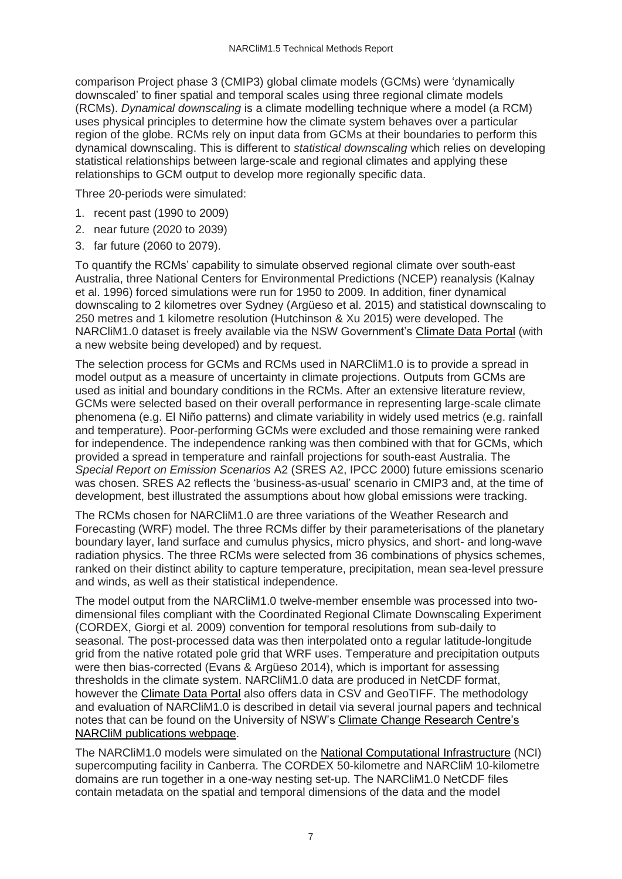comparison Project phase 3 (CMIP3) global climate models (GCMs) were 'dynamically downscaled' to finer spatial and temporal scales using three regional climate models (RCMs). *Dynamical downscaling* is a climate modelling technique where a model (a RCM) uses physical principles to determine how the climate system behaves over a particular region of the globe. RCMs rely on input data from GCMs at their boundaries to perform this dynamical downscaling. This is different to *statistical downscaling* which relies on developing statistical relationships between large-scale and regional climates and applying these relationships to GCM output to develop more regionally specific data.

Three 20-periods were simulated:

- 1. recent past (1990 to 2009)
- 2. near future (2020 to 2039)
- 3. far future (2060 to 2079).

To quantify the RCMs' capability to simulate observed regional climate over south-east Australia, three National Centers for Environmental Predictions (NCEP) reanalysis (Kalnay et al. 1996) forced simulations were run for 1950 to 2009. In addition, finer dynamical downscaling to 2 kilometres over Sydney (Argüeso et al. 2015) and statistical downscaling to 250 metres and 1 kilometre resolution (Hutchinson & Xu 2015) were developed. The NARCliM1.0 dataset is freely available via the NSW Government's [Climate Data Portal](https://climatedata.environment.nsw.gov.au/) (with a new website being developed) and by request.

The selection process for GCMs and RCMs used in NARCliM1.0 is to provide a spread in model output as a measure of uncertainty in climate projections. Outputs from GCMs are used as initial and boundary conditions in the RCMs. After an extensive literature review, GCMs were selected based on their overall performance in representing large-scale climate phenomena (e.g. El Niño patterns) and climate variability in widely used metrics (e.g. rainfall and temperature). Poor-performing GCMs were excluded and those remaining were ranked for independence. The independence ranking was then combined with that for GCMs, which provided a spread in temperature and rainfall projections for south-east Australia. The *Special Report on Emission Scenarios* A2 (SRES A2, IPCC 2000) future emissions scenario was chosen. SRES A2 reflects the 'business-as-usual' scenario in CMIP3 and, at the time of development, best illustrated the assumptions about how global emissions were tracking.

The RCMs chosen for NARCliM1.0 are three variations of the Weather Research and Forecasting (WRF) model. The three RCMs differ by their parameterisations of the planetary boundary layer, land surface and cumulus physics, micro physics, and short- and long-wave radiation physics. The three RCMs were selected from 36 combinations of physics schemes, ranked on their distinct ability to capture temperature, precipitation, mean sea-level pressure and winds, as well as their statistical independence.

The model output from the NARCliM1.0 twelve-member ensemble was processed into twodimensional files compliant with the Coordinated Regional Climate Downscaling Experiment (CORDEX, Giorgi et al. 2009) convention for temporal resolutions from sub-daily to seasonal. The post-processed data was then interpolated onto a regular latitude-longitude grid from the native rotated pole grid that WRF uses. Temperature and precipitation outputs were then bias-corrected (Evans & Argüeso 2014), which is important for assessing thresholds in the climate system. NARCliM1.0 data are produced in NetCDF format, however the [Climate Data Portal](https://climatedata.environment.nsw.gov.au/) also offers data in CSV and GeoTIFF. The methodology and evaluation of NARCliM1.0 is described in detail via several journal papers and technical notes that can be found on the University of NSW's [Climate Change Research Centre's](http://www.ccrc.unsw.edu.au/sites/default/files/NARCliM/publications.html)  [NARCliM publications webpage.](http://www.ccrc.unsw.edu.au/sites/default/files/NARCliM/publications.html)

The NARCliM1.0 models were simulated on the [National Computational Infrastructure](http://nci.org.au/) (NCI) supercomputing facility in Canberra. The CORDEX 50-kilometre and NARCliM 10-kilometre domains are run together in a one-way nesting set-up. The NARCliM1.0 NetCDF files contain metadata on the spatial and temporal dimensions of the data and the model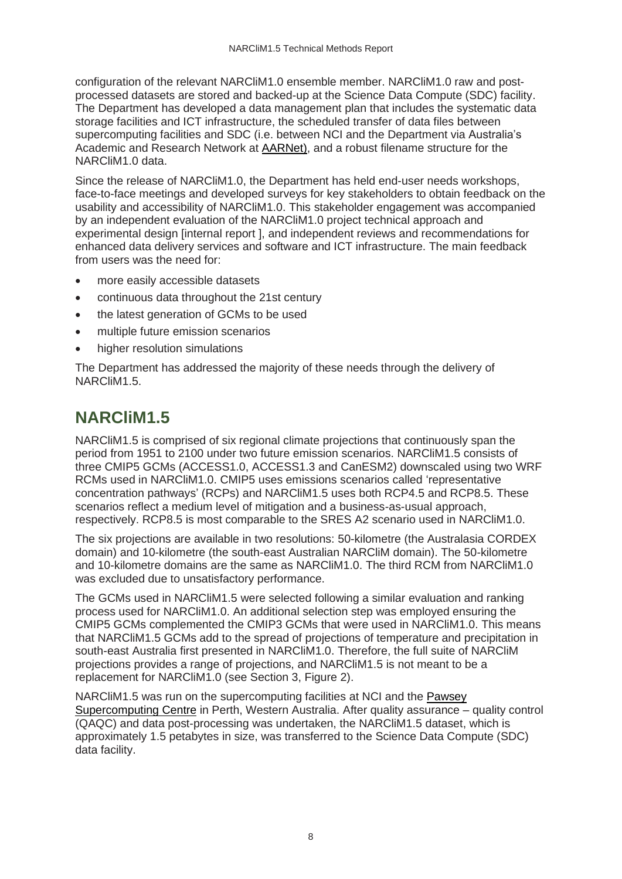configuration of the relevant NARCliM1.0 ensemble member. NARCliM1.0 raw and postprocessed datasets are stored and backed-up at the Science Data Compute (SDC) facility. The Department has developed a data management plan that includes the systematic data storage facilities and ICT infrastructure, the scheduled transfer of data files between supercomputing facilities and SDC (i.e. between NCI and the Department via Australia's Academic and Research Network at [AARNet\)](https://www.aarnet.edu.au/), and a robust filename structure for the NARCliM1.0 data.

Since the release of NARCliM1.0, the Department has held end-user needs workshops, face-to-face meetings and developed surveys for key stakeholders to obtain feedback on the usability and accessibility of NARCliM1.0. This stakeholder engagement was accompanied by an independent evaluation of the NARCliM1.0 project technical approach and experimental design [internal report ], and independent reviews and recommendations for enhanced data delivery services and software and ICT infrastructure. The main feedback from users was the need for:

- more easily accessible datasets
- continuous data throughout the 21st century
- the latest generation of GCMs to be used
- multiple future emission scenarios
- higher resolution simulations

The Department has addressed the majority of these needs through the delivery of NARCliM1.5.

### <span id="page-7-0"></span>**NARCliM1.5**

NARCliM1.5 is comprised of six regional climate projections that continuously span the period from 1951 to 2100 under two future emission scenarios. NARCliM1.5 consists of three CMIP5 GCMs (ACCESS1.0, ACCESS1.3 and CanESM2) downscaled using two WRF RCMs used in NARCliM1.0. CMIP5 uses emissions scenarios called 'representative concentration pathways' (RCPs) and NARCliM1.5 uses both RCP4.5 and RCP8.5. These scenarios reflect a medium level of mitigation and a business-as-usual approach, respectively. RCP8.5 is most comparable to the SRES A2 scenario used in NARCliM1.0.

The six projections are available in two resolutions: 50-kilometre (the Australasia CORDEX domain) and 10-kilometre (the south-east Australian NARCliM domain). The 50-kilometre and 10-kilometre domains are the same as NARCliM1.0. The third RCM from NARCliM1.0 was excluded due to unsatisfactory performance.

The GCMs used in NARCliM1.5 were selected following a similar evaluation and ranking process used for NARCliM1.0. An additional selection step was employed ensuring the CMIP5 GCMs complemented the CMIP3 GCMs that were used in NARCliM1.0. This means that NARCliM1.5 GCMs add to the spread of projections of temperature and precipitation in south-east Australia first presented in NARCliM1.0. Therefore, the full suite of NARCliM projections provides a range of projections, and NARCliM1.5 is not meant to be a replacement for NARCliM1.0 (see Section 3, Figure 2).

NARCliM1.5 was run on the supercomputing facilities at NCI and the [Pawsey](https://pawsey.org.au/) [Supercomputing Centre](https://pawsey.org.au/) in Perth, Western Australia. After quality assurance – quality control (QAQC) and data post-processing was undertaken, the NARCliM1.5 dataset, which is approximately 1.5 petabytes in size, was transferred to the Science Data Compute (SDC) data facility.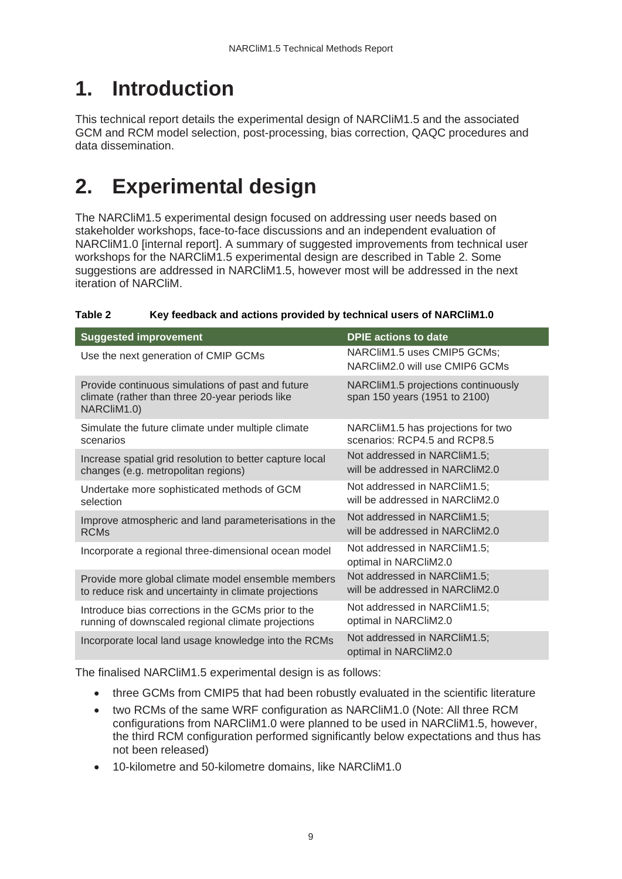# <span id="page-8-0"></span>**1. Introduction**

This technical report details the experimental design of NARCliM1.5 and the associated GCM and RCM model selection, post-processing, bias correction, QAQC procedures and data dissemination.

# <span id="page-8-1"></span>**2. Experimental design**

The NARCliM1.5 experimental design focused on addressing user needs based on stakeholder workshops, face-to-face discussions and an independent evaluation of NARCliM1.0 [internal report]. A summary of suggested improvements from technical user workshops for the NARCliM1.5 experimental design are described in Table 2. Some suggestions are addressed in NARCliM1.5, however most will be addressed in the next iteration of NARCliM.

#### <span id="page-8-2"></span>**Table 2 Key feedback and actions provided by technical users of NARCliM1.0**

| <b>Suggested improvement</b>                                                                                        | <b>DPIE</b> actions to date                                          |
|---------------------------------------------------------------------------------------------------------------------|----------------------------------------------------------------------|
| Use the next generation of CMIP GCMs                                                                                | NARCliM1.5 uses CMIP5 GCMs;<br>NARCliM2.0 will use CMIP6 GCMs        |
| Provide continuous simulations of past and future<br>climate (rather than three 20-year periods like<br>NARCliM1.0) | NARCliM1.5 projections continuously<br>span 150 years (1951 to 2100) |
| Simulate the future climate under multiple climate                                                                  | NARCliM1.5 has projections for two                                   |
| scenarios                                                                                                           | scenarios: RCP4.5 and RCP8.5                                         |
| Increase spatial grid resolution to better capture local                                                            | Not addressed in NARCIIM1.5;                                         |
| changes (e.g. metropolitan regions)                                                                                 | will be addressed in NARCIIM2.0                                      |
| Undertake more sophisticated methods of GCM                                                                         | Not addressed in NARCIIM1.5;                                         |
| selection                                                                                                           | will be addressed in NARCliM2.0                                      |
| Improve atmospheric and land parameterisations in the                                                               | Not addressed in NARCIIM1.5;                                         |
| <b>RCMs</b>                                                                                                         | will be addressed in NARCIIM2.0                                      |
| Incorporate a regional three-dimensional ocean model                                                                | Not addressed in NARCIIM1.5;<br>optimal in NARCliM2.0                |
| Provide more global climate model ensemble members                                                                  | Not addressed in NARCIIM1.5;                                         |
| to reduce risk and uncertainty in climate projections                                                               | will be addressed in NARCliM2.0                                      |
| Introduce bias corrections in the GCMs prior to the                                                                 | Not addressed in NARCIIM1.5;                                         |
| running of downscaled regional climate projections                                                                  | optimal in NARCliM2.0                                                |
| Incorporate local land usage knowledge into the RCMs                                                                | Not addressed in NARCIIM1.5;<br>optimal in NARCliM2.0                |

The finalised NARCliM1.5 experimental design is as follows:

- three GCMs from CMIP5 that had been robustly evaluated in the scientific literature
- two RCMs of the same WRF configuration as NARCliM1.0 (Note: All three RCM configurations from NARCliM1.0 were planned to be used in NARCliM1.5, however, the third RCM configuration performed significantly below expectations and thus has not been released)
- 10-kilometre and 50-kilometre domains, like NARCliM1.0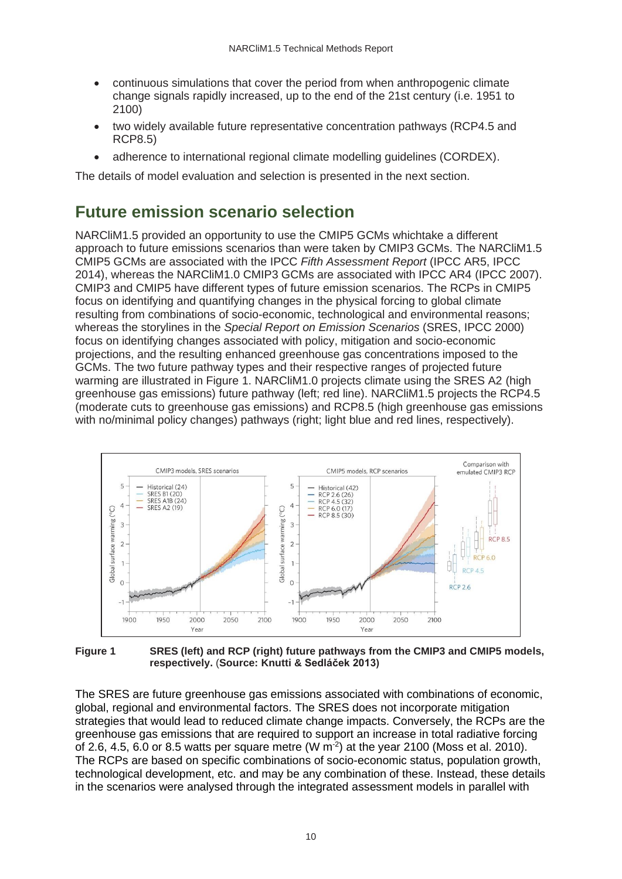- continuous simulations that cover the period from when anthropogenic climate change signals rapidly increased, up to the end of the 21st century (i.e. 1951 to 2100)
- two widely available future representative concentration pathways (RCP4.5 and RCP8.5)
- adherence to international regional climate modelling quidelines (CORDEX).

The details of model evaluation and selection is presented in the next section.

### <span id="page-9-0"></span>**Future emission scenario selection**

NARCliM1.5 provided an opportunity to use the CMIP5 GCMs whichtake a different approach to future emissions scenarios than were taken by CMIP3 GCMs. The NARCliM1.5 CMIP5 GCMs are associated with the IPCC *Fifth Assessment Report* (IPCC AR5, IPCC 2014), whereas the NARCliM1.0 CMIP3 GCMs are associated with IPCC AR4 (IPCC 2007). CMIP3 and CMIP5 have different types of future emission scenarios. The RCPs in CMIP5 focus on identifying and quantifying changes in the physical forcing to global climate resulting from combinations of socio-economic, technological and environmental reasons; whereas the storylines in the *Special Report on Emission Scenarios* (SRES, IPCC 2000) focus on identifying changes associated with policy, mitigation and socio-economic projections, and the resulting enhanced greenhouse gas concentrations imposed to the GCMs. The two future pathway types and their respective ranges of projected future warming are illustrated in Figure 1. NARCliM1.0 projects climate using the SRES A2 (high greenhouse gas emissions) future pathway (left; red line). NARCliM1.5 projects the RCP4.5 (moderate cuts to greenhouse gas emissions) and RCP8.5 (high greenhouse gas emissions with no/minimal policy changes) pathways (right; light blue and red lines, respectively).



<span id="page-9-1"></span>**Figure 1 SRES (left) and RCP (right) future pathways from the CMIP3 and CMIP5 models, respectively.** (**Source: Knutti & Sedláček 2013)**

The SRES are future greenhouse gas emissions associated with combinations of economic, global, regional and environmental factors. The SRES does not incorporate mitigation strategies that would lead to reduced climate change impacts. Conversely, the RCPs are the greenhouse gas emissions that are required to support an increase in total radiative forcing of 2.6, 4.5, 6.0 or 8.5 watts per square metre (W  $m<sup>2</sup>$ ) at the year 2100 (Moss et al. 2010). The RCPs are based on specific combinations of socio-economic status, population growth, technological development, etc. and may be any combination of these. Instead, these details in the scenarios were analysed through the integrated assessment models in parallel with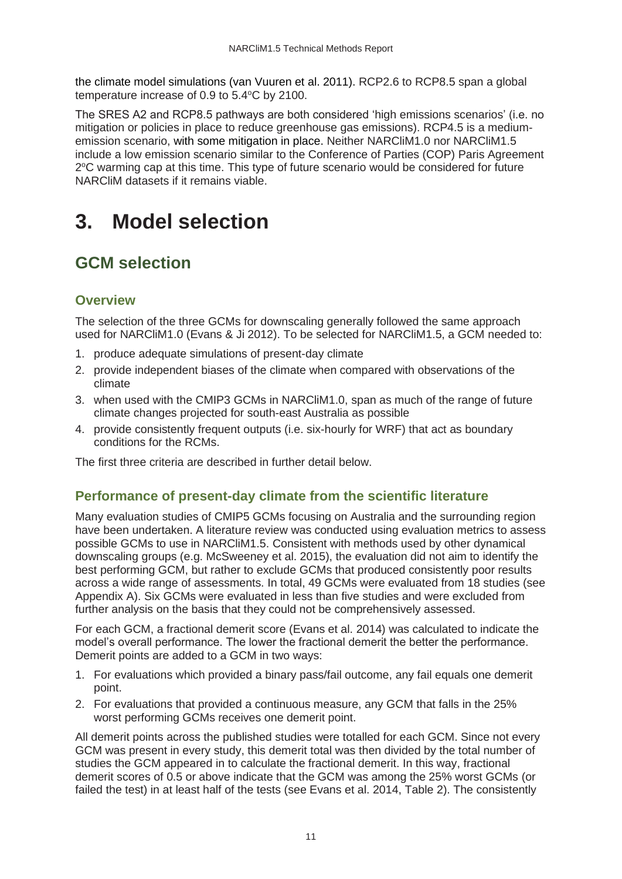the climate model simulations (van Vuuren et al. 2011). RCP2.6 to RCP8.5 span a global temperature increase of 0.9 to  $5.4^{\circ}$ C by 2100.

The SRES A2 and RCP8.5 pathways are both considered 'high emissions scenarios' (i.e. no mitigation or policies in place to reduce greenhouse gas emissions). RCP4.5 is a mediumemission scenario, with some mitigation in place. Neither NARCliM1.0 nor NARCliM1.5 include a low emission scenario similar to the Conference of Parties (COP) Paris Agreement 2°C warming cap at this time. This type of future scenario would be considered for future NARCliM datasets if it remains viable.

## <span id="page-10-0"></span>**3. Model selection**

### <span id="page-10-1"></span>**GCM selection**

### **Overview**

The selection of the three GCMs for downscaling generally followed the same approach used for NARCliM1.0 (Evans & Ji 2012). To be selected for NARCliM1.5, a GCM needed to:

- 1. produce adequate simulations of present-day climate
- 2. provide independent biases of the climate when compared with observations of the climate
- 3. when used with the CMIP3 GCMs in NARCliM1.0, span as much of the range of future climate changes projected for south-east Australia as possible
- 4. provide consistently frequent outputs (i.e. six-hourly for WRF) that act as boundary conditions for the RCMs.

The first three criteria are described in further detail below.

#### **Performance of present-day climate from the scientific literature**

Many evaluation studies of CMIP5 GCMs focusing on Australia and the surrounding region have been undertaken. A literature review was conducted using evaluation metrics to assess possible GCMs to use in NARCliM1.5. Consistent with methods used by other dynamical downscaling groups (e.g. McSweeney et al. 2015), the evaluation did not aim to identify the best performing GCM, but rather to exclude GCMs that produced consistently poor results across a wide range of assessments. In total, 49 GCMs were evaluated from 18 studies (see Appendix A). Six GCMs were evaluated in less than five studies and were excluded from further analysis on the basis that they could not be comprehensively assessed.

For each GCM, a fractional demerit score (Evans et al. 2014) was calculated to indicate the model's overall performance. The lower the fractional demerit the better the performance. Demerit points are added to a GCM in two ways:

- 1. For evaluations which provided a binary pass/fail outcome, any fail equals one demerit point.
- 2. For evaluations that provided a continuous measure, any GCM that falls in the 25% worst performing GCMs receives one demerit point.

All demerit points across the published studies were totalled for each GCM. Since not every GCM was present in every study, this demerit total was then divided by the total number of studies the GCM appeared in to calculate the fractional demerit. In this way, fractional demerit scores of 0.5 or above indicate that the GCM was among the 25% worst GCMs (or failed the test) in at least half of the tests (see Evans et al. 2014, Table 2). The consistently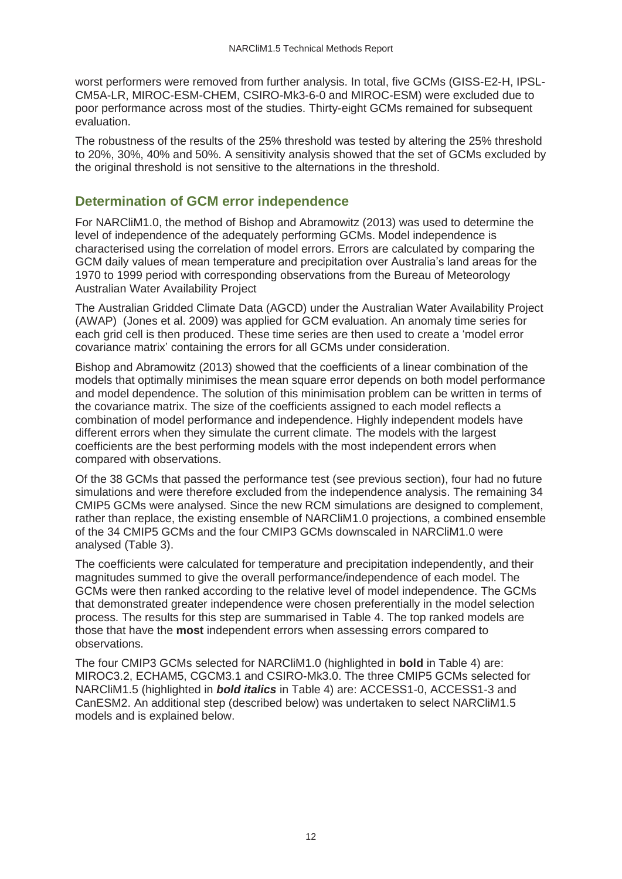worst performers were removed from further analysis. In total, five GCMs (GISS-E2-H, IPSL-CM5A-LR, MIROC-ESM-CHEM, CSIRO-Mk3-6-0 and MIROC-ESM) were excluded due to poor performance across most of the studies. Thirty-eight GCMs remained for subsequent evaluation.

The robustness of the results of the 25% threshold was tested by altering the 25% threshold to 20%, 30%, 40% and 50%. A sensitivity analysis showed that the set of GCMs excluded by the original threshold is not sensitive to the alternations in the threshold.

#### **Determination of GCM error independence**

For NARCliM1.0, the method of Bishop and Abramowitz (2013) was used to determine the level of independence of the adequately performing GCMs. Model independence is characterised using the correlation of model errors. Errors are calculated by comparing the GCM daily values of mean temperature and precipitation over Australia's land areas for the 1970 to 1999 period with corresponding observations from the Bureau of Meteorology Australian Water Availability Project

The Australian Gridded Climate Data (AGCD) under the Australian Water Availability Project (AWAP) (Jones et al. 2009) was applied for GCM evaluation. An anomaly time series for each grid cell is then produced. These time series are then used to create a 'model error covariance matrix' containing the errors for all GCMs under consideration.

Bishop and Abramowitz (2013) showed that the coefficients of a linear combination of the models that optimally minimises the mean square error depends on both model performance and model dependence. The solution of this minimisation problem can be written in terms of the covariance matrix. The size of the coefficients assigned to each model reflects a combination of model performance and independence. Highly independent models have different errors when they simulate the current climate. The models with the largest coefficients are the best performing models with the most independent errors when compared with observations.

Of the 38 GCMs that passed the performance test (see previous section), four had no future simulations and were therefore excluded from the independence analysis. The remaining 34 CMIP5 GCMs were analysed. Since the new RCM simulations are designed to complement, rather than replace, the existing ensemble of NARCliM1.0 projections, a combined ensemble of the 34 CMIP5 GCMs and the four CMIP3 GCMs downscaled in NARCliM1.0 were analysed (Table 3).

The coefficients were calculated for temperature and precipitation independently, and their magnitudes summed to give the overall performance/independence of each model. The GCMs were then ranked according to the relative level of model independence. The GCMs that demonstrated greater independence were chosen preferentially in the model selection process. The results for this step are summarised in Table 4. The top ranked models are those that have the **most** independent errors when assessing errors compared to observations.

The four CMIP3 GCMs selected for NARCliM1.0 (highlighted in **bold** in Table 4) are: MIROC3.2, ECHAM5, CGCM3.1 and CSIRO-Mk3.0. The three CMIP5 GCMs selected for NARCliM1.5 (highlighted in *bold italics* in Table 4) are: ACCESS1-0, ACCESS1-3 and CanESM2. An additional step (described below) was undertaken to select NARCliM1.5 models and is explained below.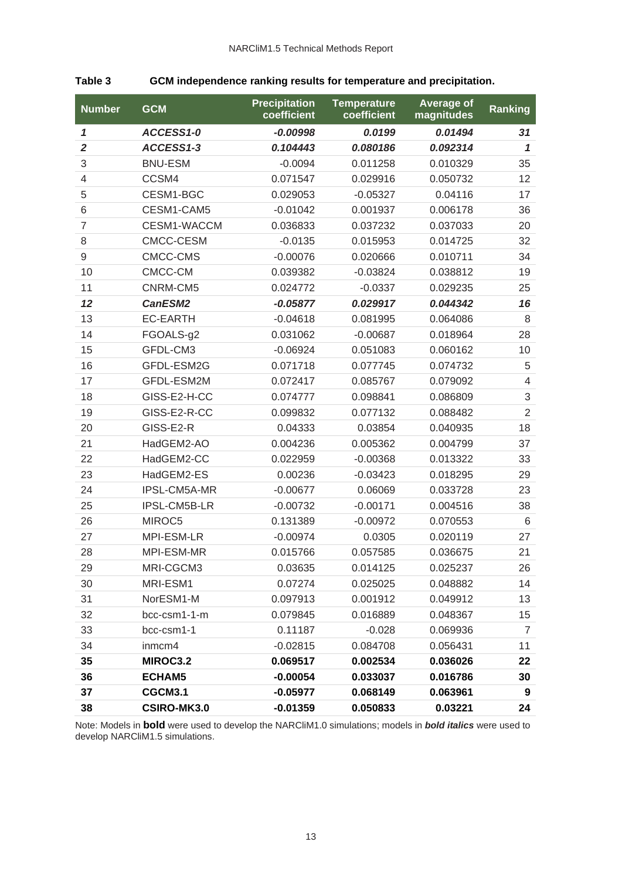#### <span id="page-12-0"></span>**Table 3 GCM independence ranking results for temperature and precipitation.**

| <b>Number</b>  | <b>GCM</b>         | <b>Precipitation</b><br>coefficient | <b>Temperature</b><br>coefficient | <b>Average of</b><br>magnitudes | <b>Ranking</b> |
|----------------|--------------------|-------------------------------------|-----------------------------------|---------------------------------|----------------|
| 1              | ACCESS1-0          | $-0.00998$                          | 0.0199                            | 0.01494                         | 31             |
| $\overline{2}$ | ACCESS1-3          | 0.104443                            | 0.080186                          | 0.092314                        | $\mathbf{1}$   |
| 3              | <b>BNU-ESM</b>     | $-0.0094$                           | 0.011258                          | 0.010329                        | 35             |
| $\overline{4}$ | CCSM4              | 0.071547                            | 0.029916                          | 0.050732                        | 12             |
| 5              | CESM1-BGC          | 0.029053                            | $-0.05327$                        | 0.04116                         | 17             |
| 6              | CESM1-CAM5         | $-0.01042$                          | 0.001937                          | 0.006178                        | 36             |
| $\overline{7}$ | CESM1-WACCM        | 0.036833                            | 0.037232                          | 0.037033                        | 20             |
| 8              | CMCC-CESM          | $-0.0135$                           | 0.015953                          | 0.014725                        | 32             |
| $\mathsf 9$    | CMCC-CMS           | $-0.00076$                          | 0.020666                          | 0.010711                        | 34             |
| 10             | CMCC-CM            | 0.039382                            | $-0.03824$                        | 0.038812                        | 19             |
| 11             | CNRM-CM5           | 0.024772                            | $-0.0337$                         | 0.029235                        | 25             |
| 12             | CanESM2            | $-0.05877$                          | 0.029917                          | 0.044342                        | 16             |
| 13             | <b>EC-EARTH</b>    | $-0.04618$                          | 0.081995                          | 0.064086                        | 8              |
| 14             | FGOALS-g2          | 0.031062                            | $-0.00687$                        | 0.018964                        | 28             |
| 15             | GFDL-CM3           | $-0.06924$                          | 0.051083                          | 0.060162                        | 10             |
| 16             | GFDL-ESM2G         | 0.071718                            | 0.077745                          | 0.074732                        | 5              |
| 17             | GFDL-ESM2M         | 0.072417                            | 0.085767                          | 0.079092                        | $\overline{4}$ |
| 18             | GISS-E2-H-CC       | 0.074777                            | 0.098841                          | 0.086809                        | 3              |
| 19             | GISS-E2-R-CC       | 0.099832                            | 0.077132                          | 0.088482                        | $\overline{2}$ |
| 20             | GISS-E2-R          | 0.04333                             | 0.03854                           | 0.040935                        | 18             |
| 21             | HadGEM2-AO         | 0.004236                            | 0.005362                          | 0.004799                        | 37             |
| 22             | HadGEM2-CC         | 0.022959                            | $-0.00368$                        | 0.013322                        | 33             |
| 23             | HadGEM2-ES         | 0.00236                             | $-0.03423$                        | 0.018295                        | 29             |
| 24             | IPSL-CM5A-MR       | $-0.00677$                          | 0.06069                           | 0.033728                        | 23             |
| 25             | IPSL-CM5B-LR       | $-0.00732$                          | $-0.00171$                        | 0.004516                        | 38             |
| 26             | MIROC5             | 0.131389                            | $-0.00972$                        | 0.070553                        | 6              |
| 27             | MPI-ESM-LR         | $-0.00974$                          | 0.0305                            | 0.020119                        | 27             |
| 28             | MPI-ESM-MR         | 0.015766                            | 0.057585                          | 0.036675                        | 21             |
| 29             | MRI-CGCM3          | 0.03635                             | 0.014125                          | 0.025237                        | 26             |
| 30             | MRI-ESM1           | 0.07274                             | 0.025025                          | 0.048882                        | 14             |
| 31             | NorESM1-M          | 0.097913                            | 0.001912                          | 0.049912                        | 13             |
| 32             | bcc-csm1-1-m       | 0.079845                            | 0.016889                          | 0.048367                        | 15             |
| 33             | bcc-csm1-1         | 0.11187                             | $-0.028$                          | 0.069936                        | $\overline{7}$ |
| 34             | inmcm4             | $-0.02815$                          | 0.084708                          | 0.056431                        | 11             |
| 35             | MIROC3.2           | 0.069517                            | 0.002534                          | 0.036026                        | 22             |
| 36             | <b>ECHAM5</b>      | $-0.00054$                          | 0.033037                          | 0.016786                        | 30             |
| 37             | CGCM3.1            | $-0.05977$                          | 0.068149                          | 0.063961                        | 9              |
| 38             | <b>CSIRO-MK3.0</b> | $-0.01359$                          | 0.050833                          | 0.03221                         | 24             |

Note: Models in **bold** were used to develop the NARCliM1.0 simulations; models in *bold italics* were used to develop NARCliM1.5 simulations.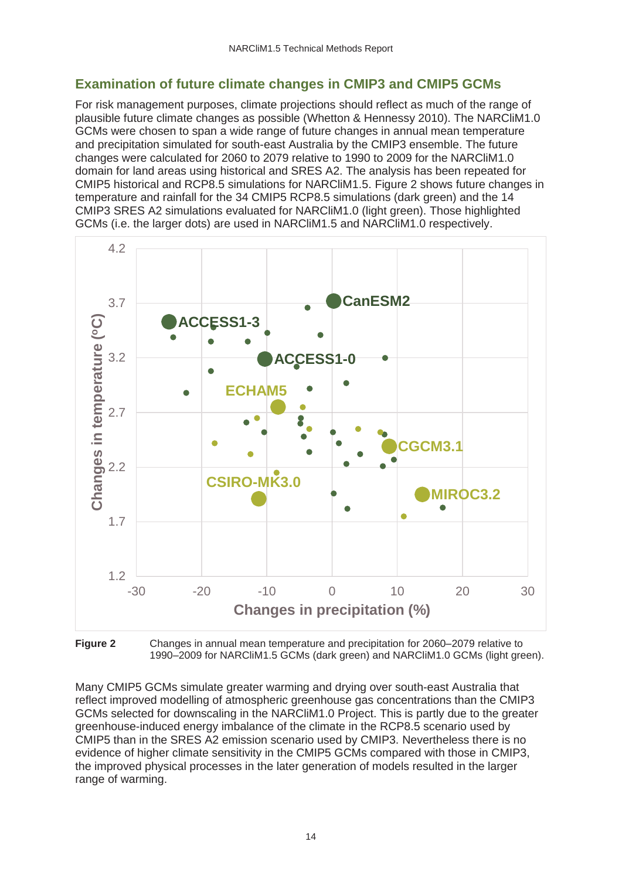### **Examination of future climate changes in CMIP3 and CMIP5 GCMs**

For risk management purposes, climate projections should reflect as much of the range of plausible future climate changes as possible (Whetton & Hennessy 2010). The NARCliM1.0 GCMs were chosen to span a wide range of future changes in annual mean temperature and precipitation simulated for south-east Australia by the CMIP3 ensemble. The future changes were calculated for 2060 to 2079 relative to 1990 to 2009 for the NARCliM1.0 domain for land areas using historical and SRES A2. The analysis has been repeated for CMIP5 historical and RCP8.5 simulations for NARCliM1.5. Figure 2 shows future changes in temperature and rainfall for the 34 CMIP5 RCP8.5 simulations (dark green) and the 14 CMIP3 SRES A2 simulations evaluated for NARCliM1.0 (light green). Those highlighted GCMs (i.e. the larger dots) are used in NARCliM1.5 and NARCliM1.0 respectively.



**Figure 2** Changes in annual mean temperature and precipitation for 2060–2079 relative to 1990–2009 for NARCliM1.5 GCMs (dark green) and NARCliM1.0 GCMs (light green).

Many CMIP5 GCMs simulate greater warming and drying over south-east Australia that reflect improved modelling of atmospheric greenhouse gas concentrations than the CMIP3 GCMs selected for downscaling in the NARCliM1.0 Project. This is partly due to the greater greenhouse-induced energy imbalance of the climate in the RCP8.5 scenario used by CMIP5 than in the SRES A2 emission scenario used by CMIP3. Nevertheless there is no evidence of higher climate sensitivity in the CMIP5 GCMs compared with those in CMIP3, the improved physical processes in the later generation of models resulted in the larger range of warming.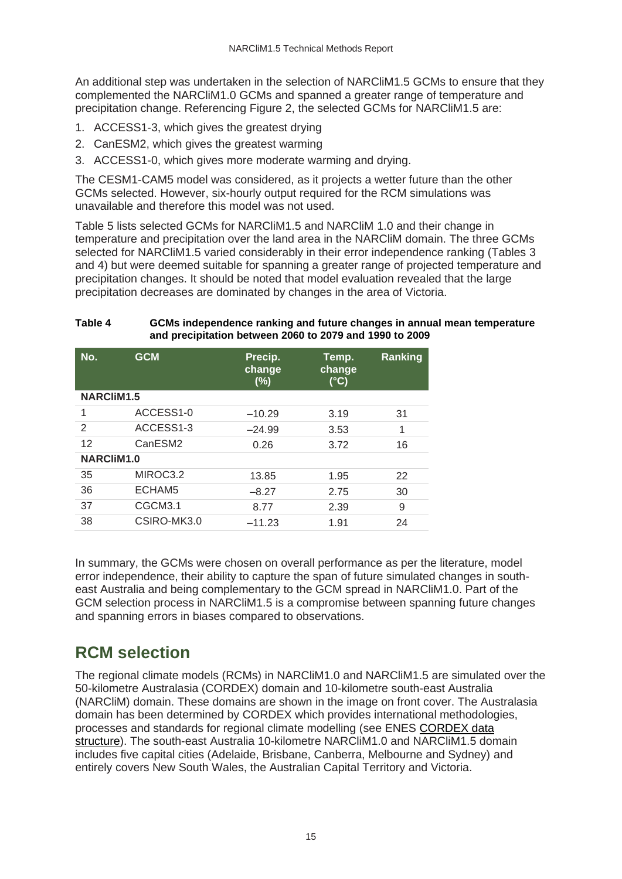An additional step was undertaken in the selection of NARCliM1.5 GCMs to ensure that they complemented the NARCliM1.0 GCMs and spanned a greater range of temperature and precipitation change. Referencing Figure 2, the selected GCMs for NARCliM1.5 are:

- 1. ACCESS1-3, which gives the greatest drying
- 2. CanESM2, which gives the greatest warming
- 3. ACCESS1-0, which gives more moderate warming and drying.

The CESM1-CAM5 model was considered, as it projects a wetter future than the other GCMs selected. However, six-hourly output required for the RCM simulations was unavailable and therefore this model was not used.

Table 5 lists selected GCMs for NARCliM1.5 and NARCliM 1.0 and their change in temperature and precipitation over the land area in the NARCliM domain. The three GCMs selected for NARCliM1.5 varied considerably in their error independence ranking (Tables 3 and 4) but were deemed suitable for spanning a greater range of projected temperature and precipitation changes. It should be noted that model evaluation revealed that the large precipitation decreases are dominated by changes in the area of Victoria.

#### <span id="page-14-1"></span>**Table 4 GCMs independence ranking and future changes in annual mean temperature and precipitation between 2060 to 2079 and 1990 to 2009**

| No.               | <b>GCM</b>          | Precip.<br>change<br>(%) | Temp.<br>change<br>(°C) | Ranking |  |  |  |
|-------------------|---------------------|--------------------------|-------------------------|---------|--|--|--|
| <b>NARCliM1.5</b> |                     |                          |                         |         |  |  |  |
| 1                 | ACCESS1-0           | $-10.29$                 | 3.19                    | 31      |  |  |  |
| 2                 | ACCESS1-3           | $-24.99$                 | 3.53                    | 1       |  |  |  |
| 12                | CanESM <sub>2</sub> | 0.26                     | 3.72                    | 16      |  |  |  |
| NARCliM1.0        |                     |                          |                         |         |  |  |  |
| 35                | MIROC3.2            | 13.85                    | 1.95                    | 22      |  |  |  |
| 36                | ECHAM5              | $-8.27$                  | 2.75                    | 30      |  |  |  |
| 37                | CGCM3.1             | 8.77                     | 2.39                    | 9       |  |  |  |
| 38                | CSIRO-MK3.0         | $-11.23$                 | 1.91                    | 24      |  |  |  |

In summary, the GCMs were chosen on overall performance as per the literature, model error independence, their ability to capture the span of future simulated changes in southeast Australia and being complementary to the GCM spread in NARCliM1.0. Part of the GCM selection process in NARCliM1.5 is a compromise between spanning future changes and spanning errors in biases compared to observations.

### <span id="page-14-0"></span>**RCM selection**

The regional climate models (RCMs) in NARCliM1.0 and NARCliM1.5 are simulated over the 50-kilometre Australasia (CORDEX) domain and 10-kilometre south-east Australia (NARCliM) domain. These domains are shown in the image on front cover. The Australasia domain has been determined by CORDEX which provides international methodologies, processes and standards for regional climate modelling (see ENES [CORDEX data](https://portal.enes.org/data/enes-model-data/cordex/datastructure)  [structure\)](https://portal.enes.org/data/enes-model-data/cordex/datastructure). The south-east Australia 10-kilometre NARCliM1.0 and NARCliM1.5 domain includes five capital cities (Adelaide, Brisbane, Canberra, Melbourne and Sydney) and entirely covers New South Wales, the Australian Capital Territory and Victoria.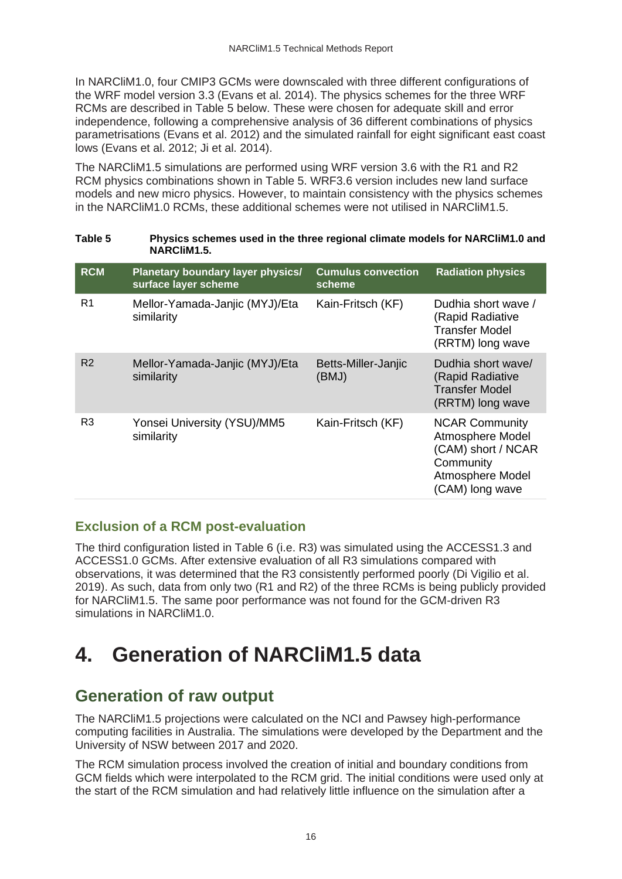In NARCliM1.0, four CMIP3 GCMs were downscaled with three different configurations of the WRF model version 3.3 (Evans et al. 2014). The physics schemes for the three WRF RCMs are described in Table 5 below. These were chosen for adequate skill and error independence, following a comprehensive analysis of 36 different combinations of physics parametrisations (Evans et al. 2012) and the simulated rainfall for eight significant east coast lows (Evans et al. 2012; Ji et al. 2014).

The NARCliM1.5 simulations are performed using WRF version 3.6 with the R1 and R2 RCM physics combinations shown in Table 5. WRF3.6 version includes new land surface models and new micro physics. However, to maintain consistency with the physics schemes in the NARCliM1.0 RCMs, these additional schemes were not utilised in NARCliM1.5.

<span id="page-15-2"></span>**Table 5 Physics schemes used in the three regional climate models for NARCliM1.0 and** 

| Lault J        | Privates activities used in the three regional children models for nanchinity and<br>NARCliM1.5. |                                     |                                                                                                                     |  |  |  |
|----------------|--------------------------------------------------------------------------------------------------|-------------------------------------|---------------------------------------------------------------------------------------------------------------------|--|--|--|
| <b>RCM</b>     | Planetary boundary layer physics/<br>surface layer scheme                                        | <b>Cumulus convection</b><br>scheme | <b>Radiation physics</b>                                                                                            |  |  |  |
| R1             | Mellor-Yamada-Janjic (MYJ)/Eta<br>similarity                                                     | Kain-Fritsch (KF)                   | Dudhia short wave /<br>(Rapid Radiative<br><b>Transfer Model</b><br>(RRTM) long wave                                |  |  |  |
| R <sub>2</sub> | Mellor-Yamada-Janjic (MYJ)/Eta<br>similarity                                                     | Betts-Miller-Janjic<br>(BMJ)        | Dudhia short wave/<br>(Rapid Radiative<br>Transfer Model<br>(RRTM) long wave                                        |  |  |  |
| R <sub>3</sub> | Yonsei University (YSU)/MM5<br>similarity                                                        | Kain-Fritsch (KF)                   | <b>NCAR Community</b><br>Atmosphere Model<br>(CAM) short / NCAR<br>Community<br>Atmosphere Model<br>(CAM) long wave |  |  |  |

### **Exclusion of a RCM post-evaluation**

The third configuration listed in Table 6 (i.e. R3) was simulated using the ACCESS1.3 and ACCESS1.0 GCMs. After extensive evaluation of all R3 simulations compared with observations, it was determined that the R3 consistently performed poorly (Di Vigilio et al. 2019). As such, data from only two (R1 and R2) of the three RCMs is being publicly provided for NARCliM1.5. The same poor performance was not found for the GCM-driven R3 simulations in NARCliM1.0.

## <span id="page-15-0"></span>**4. Generation of NARCliM1.5 data**

### <span id="page-15-1"></span>**Generation of raw output**

The NARCliM1.5 projections were calculated on the NCI and Pawsey high-performance computing facilities in Australia. The simulations were developed by the Department and the University of NSW between 2017 and 2020.

The RCM simulation process involved the creation of initial and boundary conditions from GCM fields which were interpolated to the RCM grid. The initial conditions were used only at the start of the RCM simulation and had relatively little influence on the simulation after a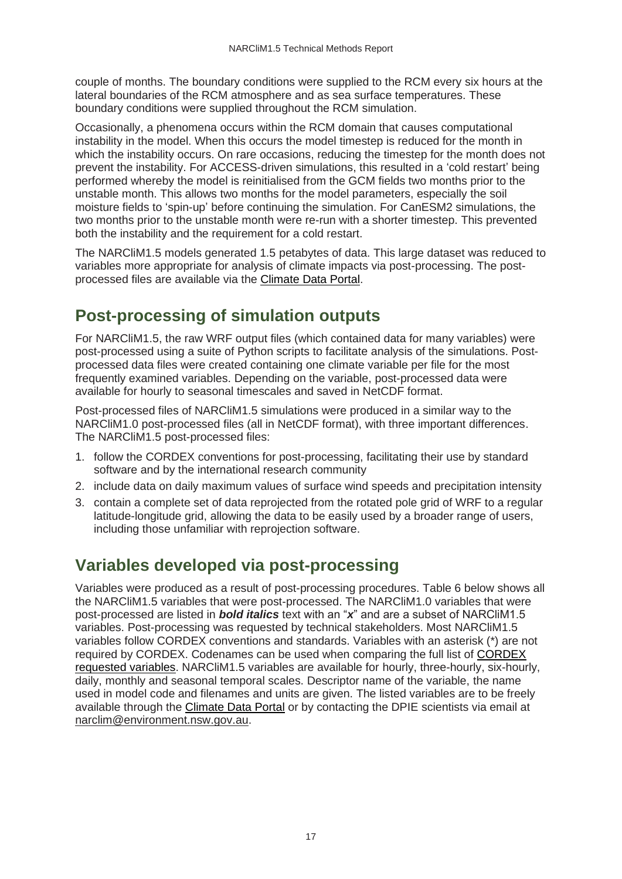couple of months. The boundary conditions were supplied to the RCM every six hours at the lateral boundaries of the RCM atmosphere and as sea surface temperatures. These boundary conditions were supplied throughout the RCM simulation.

Occasionally, a phenomena occurs within the RCM domain that causes computational instability in the model. When this occurs the model timestep is reduced for the month in which the instability occurs. On rare occasions, reducing the timestep for the month does not prevent the instability. For ACCESS-driven simulations, this resulted in a 'cold restart' being performed whereby the model is reinitialised from the GCM fields two months prior to the unstable month. This allows two months for the model parameters, especially the soil moisture fields to 'spin-up' before continuing the simulation. For CanESM2 simulations, the two months prior to the unstable month were re-run with a shorter timestep. This prevented both the instability and the requirement for a cold restart.

The NARCliM1.5 models generated 1.5 petabytes of data. This large dataset was reduced to variables more appropriate for analysis of climate impacts via post-processing. The postprocessed files are available via the [Climate Data Portal.](https://climatedata.environment.nsw.gov.au/)

### <span id="page-16-0"></span>**Post-processing of simulation outputs**

For NARCliM1.5, the raw WRF output files (which contained data for many variables) were post-processed using a suite of Python scripts to facilitate analysis of the simulations. Postprocessed data files were created containing one climate variable per file for the most frequently examined variables. Depending on the variable, post-processed data were available for hourly to seasonal timescales and saved in NetCDF format.

Post-processed files of NARCliM1.5 simulations were produced in a similar way to the NARCliM1.0 post-processed files (all in NetCDF format), with three important differences. The NARCliM1.5 post-processed files:

- 1. follow the CORDEX conventions for post-processing, facilitating their use by standard software and by the international research community
- 2. include data on daily maximum values of surface wind speeds and precipitation intensity
- 3. contain a complete set of data reprojected from the rotated pole grid of WRF to a regular latitude-longitude grid, allowing the data to be easily used by a broader range of users, including those unfamiliar with reprojection software.

### <span id="page-16-1"></span>**Variables developed via post-processing**

Variables were produced as a result of post-processing procedures. Table 6 below shows all the NARCliM1.5 variables that were post-processed. The NARCliM1.0 variables that were post-processed are listed in *bold italics* text with an "*x*" and are a subset of NARCliM1.5 variables. Post-processing was requested by technical stakeholders. Most NARCliM1.5 variables follow CORDEX conventions and standards. Variables with an asterisk (\*) are not required by CORDEX. Codenames can be used when comparing the full list of CORDEX [requested variables.](http://is-enes-data.github.io/CORDEX_variables_requirement_table.pdf) NARCliM1.5 variables are available for hourly, three-hourly, six-hourly, daily, monthly and seasonal temporal scales. Descriptor name of the variable, the name used in model code and filenames and units are given. The listed variables are to be freely available through the [Climate Data Portal](https://climatedata.environment.nsw.gov.au/) or by contacting the DPIE scientists via email at [narclim@environment.nsw.gov.au.](mailto:narclim@environment.nsw.gov.au)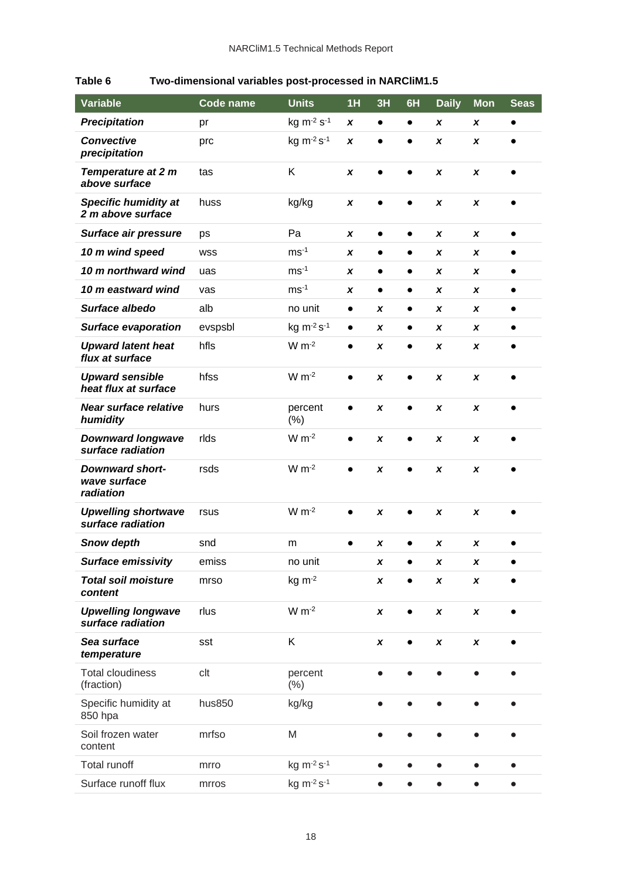| <b>Variable</b>                                     | Code name  | <b>Units</b>      | 1H           | 3H           | 6H        | <b>Daily</b> | <b>Mon</b>   | <b>Seas</b> |
|-----------------------------------------------------|------------|-------------------|--------------|--------------|-----------|--------------|--------------|-------------|
| <b>Precipitation</b>                                | pr         | $kg m-2 s-1$      | X            | $\bullet$    | $\bullet$ | X            | X            | $\bullet$   |
| <b>Convective</b><br>precipitation                  | prc        | kg m-2 s-1        | $\pmb{\chi}$ | $\bullet$    | $\bullet$ | X            | X            |             |
| <b>Temperature at 2 m</b><br>above surface          | tas        | K                 | X            | $\bullet$    | $\bullet$ | X            | X            | $\bullet$   |
| <b>Specific humidity at</b><br>2 m above surface    | huss       | kg/kg             | X            | $\bullet$    | $\bullet$ | X            | X            | $\bullet$   |
| Surface air pressure                                | ps         | Pa                | X            | $\bullet$    | $\bullet$ | X            | x            | $\bullet$   |
| 10 m wind speed                                     | <b>WSS</b> | $ms-1$            | X            | $\bullet$    | $\bullet$ | x            | x            | $\bullet$   |
| 10 m northward wind                                 | uas        | $ms-1$            | X            | $\bullet$    | $\bullet$ | x            | x            |             |
| 10 m eastward wind                                  | vas        | $ms-1$            | X            | $\bullet$    | $\bullet$ | X            | x            |             |
| Surface albedo                                      | alb        | no unit           | $\bullet$    | X            | $\bullet$ | x            | x            | $\bullet$   |
| <b>Surface evaporation</b>                          | evspsbl    | $kg m-2 s-1$      | $\bullet$    | X            | $\bullet$ | X            | x            |             |
| <b>Upward latent heat</b><br>flux at surface        | hfls       | $W m-2$           | $\bullet$    | X            | $\bullet$ | X            | x            |             |
| <b>Upward sensible</b><br>heat flux at surface      | hfss       | $W m-2$           | $\bullet$    | X            | $\bullet$ | X            | X            | $\bullet$   |
| Near surface relative<br>humidity                   | hurs       | percent<br>(% )   | $\bullet$    | X            | $\bullet$ | X            | X            | $\bullet$   |
| <b>Downward longwave</b><br>surface radiation       | rlds       | $W m-2$           | $\bullet$    | X            | $\bullet$ | X            | X            | $\bullet$   |
| <b>Downward short-</b><br>wave surface<br>radiation | rsds       | $W m-2$           |              | X            | $\bullet$ | X            | X            |             |
| <b>Upwelling shortwave</b><br>surface radiation     | rsus       | $W m-2$           | $\bullet$    | X            | $\bullet$ | X            | x            |             |
| <b>Snow depth</b>                                   | snd        | m                 |              | X            | $\bullet$ | X            | x            |             |
| <b>Surface emissivity</b>                           | emiss      | no unit           |              | x            |           | x            | x            |             |
| <b>Total soil moisture</b><br>content               | mrso       | $kg \, m^{-2}$    |              | X            | $\bullet$ | X            | x            |             |
| <b>Upwelling longwave</b><br>surface radiation      | rlus       | $W m-2$           |              | X            | $\bullet$ | $\pmb{\chi}$ | $\pmb{\chi}$ |             |
| Sea surface<br>temperature                          | sst        | K                 |              | $\pmb{\chi}$ | $\bullet$ | $\pmb{\chi}$ | $\pmb{\chi}$ | $\bullet$   |
| <b>Total cloudiness</b><br>(fraction)               | clt        | percent<br>$(\%)$ |              |              |           |              |              |             |
| Specific humidity at<br>850 hpa                     | hus850     | kg/kg             |              | $\bullet$    | $\bullet$ | $\bullet$    | $\bullet$    | $\bullet$   |
| Soil frozen water<br>content                        | mrfso      | M                 |              |              |           |              |              |             |
| Total runoff                                        | mrro       | kg m-2 s-1        |              | $\bullet$    | ●         | $\bullet$    | $\bullet$    | ●           |
| Surface runoff flux                                 | mrros      | $kg m-2 s-1$      |              | $\bullet$    | $\bullet$ | $\bullet$    | $\bullet$    | $\bullet$   |

#### <span id="page-17-0"></span>**Table 6 Two-dimensional variables post-processed in NARCliM1.5**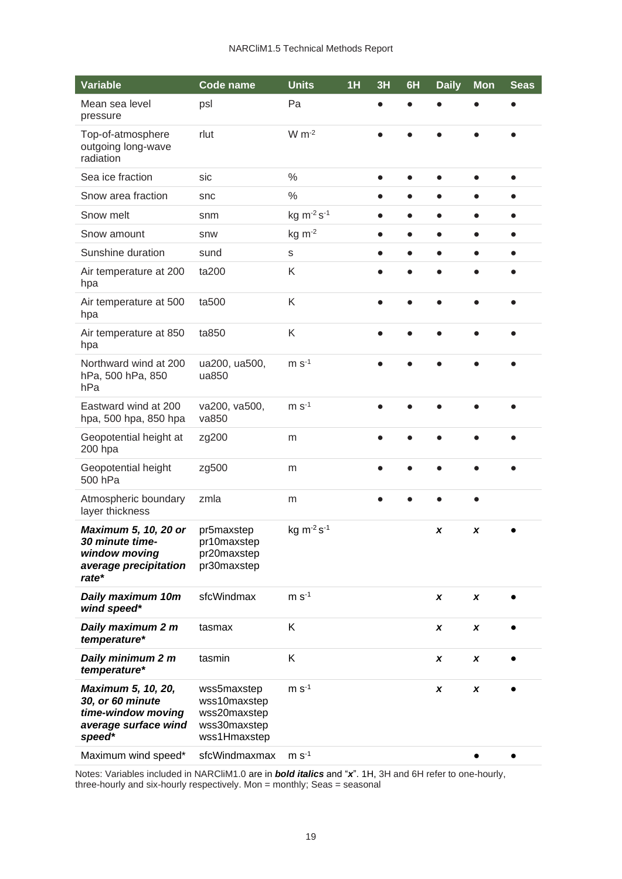| Variable                                                                                       | <b>Code name</b>                                                            | <b>Units</b>   | 1H | 3H        | 6H        | <b>Daily</b> | <b>Mon</b>   | <b>Seas</b> |
|------------------------------------------------------------------------------------------------|-----------------------------------------------------------------------------|----------------|----|-----------|-----------|--------------|--------------|-------------|
| Mean sea level<br>pressure                                                                     | psl                                                                         | Pa             |    |           |           |              |              |             |
| Top-of-atmosphere<br>outgoing long-wave<br>radiation                                           | rlut                                                                        | $W m-2$        |    |           |           |              |              |             |
| Sea ice fraction                                                                               | sic                                                                         | $\frac{0}{0}$  |    |           |           |              |              |             |
| Snow area fraction                                                                             | snc                                                                         | $\%$           |    |           |           |              |              |             |
| Snow melt                                                                                      | snm                                                                         | kg m-2 s-1     |    |           |           |              |              |             |
| Snow amount                                                                                    | snw                                                                         | $kg \, m^{-2}$ |    |           | $\bullet$ |              |              |             |
| Sunshine duration                                                                              | sund                                                                        | $\mathbf S$    |    |           |           |              |              |             |
| Air temperature at 200<br>hpa                                                                  | ta200                                                                       | K              |    |           |           |              |              |             |
| Air temperature at 500<br>hpa                                                                  | ta500                                                                       | K              |    |           |           |              |              |             |
| Air temperature at 850<br>hpa                                                                  | ta850                                                                       | K              |    | $\bullet$ | $\bullet$ | $\bullet$    | $\bullet$    |             |
| Northward wind at 200<br>hPa, 500 hPa, 850<br>hPa                                              | ua200, ua500,<br>ua850                                                      | $m s-1$        |    |           |           |              |              |             |
| Eastward wind at 200<br>hpa, 500 hpa, 850 hpa                                                  | va200, va500,<br>va850                                                      | $m s-1$        |    |           |           |              |              |             |
| Geopotential height at<br>200 hpa                                                              | zg200                                                                       | m              |    |           |           |              |              |             |
| Geopotential height<br>500 hPa                                                                 | zg500                                                                       | m              |    |           |           |              |              |             |
| Atmospheric boundary<br>layer thickness                                                        | zmla                                                                        | m              |    |           |           |              |              |             |
| Maximum 5, 10, 20 or<br>30 minute time-<br>window moving<br>average precipitation<br>rate*     | pr5maxstep<br>pr10maxstep<br>pr20maxstep<br>pr30maxstep                     | kg m-2 s-1     |    |           |           | X            | X            |             |
| Daily maximum 10m<br>wind speed*                                                               | sfcWindmax                                                                  | $m s-1$        |    |           |           | X            | X            |             |
| Daily maximum 2 m<br>temperature*                                                              | tasmax                                                                      | K              |    |           |           | $\pmb{\chi}$ | $\pmb{\chi}$ |             |
| Daily minimum 2 m<br>temperature*                                                              | tasmin                                                                      | K              |    |           |           | X            | X            |             |
| Maximum 5, 10, 20,<br>30, or 60 minute<br>time-window moving<br>average surface wind<br>speed* | wss5maxstep<br>wss10maxstep<br>wss20maxstep<br>wss30maxstep<br>wss1Hmaxstep | $m s-1$        |    |           |           | X            | $\pmb{\chi}$ |             |
| Maximum wind speed*                                                                            | sfcWindmaxmax                                                               | $m s-1$        |    |           |           |              |              |             |

Notes: Variables included in NARCliM1.0 are in *bold italics* and "*x*". 1H, 3H and 6H refer to one-hourly, three-hourly and six-hourly respectively. Mon = monthly; Seas = seasonal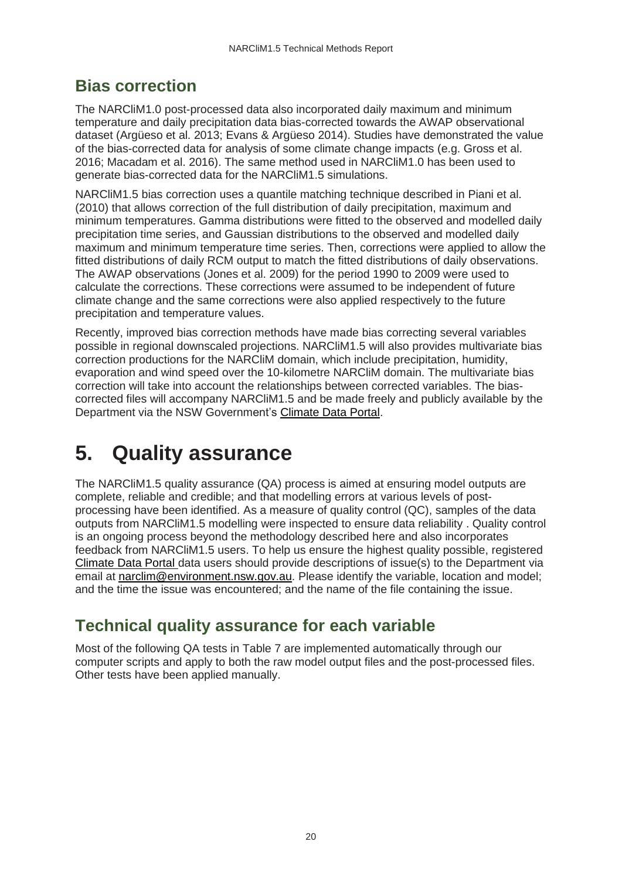### <span id="page-19-0"></span>**Bias correction**

The NARCliM1.0 post-processed data also incorporated daily maximum and minimum temperature and daily precipitation data bias-corrected towards the AWAP observational dataset (Argüeso et al. 2013; Evans & Argüeso 2014). Studies have demonstrated the value of the bias-corrected data for analysis of some climate change impacts (e.g. Gross et al. 2016; Macadam et al. 2016). The same method used in NARCliM1.0 has been used to generate bias-corrected data for the NARCliM1.5 simulations.

NARCliM1.5 bias correction uses a quantile matching technique described in Piani et al. (2010) that allows correction of the full distribution of daily precipitation, maximum and minimum temperatures. Gamma distributions were fitted to the observed and modelled daily precipitation time series, and Gaussian distributions to the observed and modelled daily maximum and minimum temperature time series. Then, corrections were applied to allow the fitted distributions of daily RCM output to match the fitted distributions of daily observations. The AWAP observations (Jones et al. 2009) for the period 1990 to 2009 were used to calculate the corrections. These corrections were assumed to be independent of future climate change and the same corrections were also applied respectively to the future precipitation and temperature values.

Recently, improved bias correction methods have made bias correcting several variables possible in regional downscaled projections. NARCliM1.5 will also provides multivariate bias correction productions for the NARCliM domain, which include precipitation, humidity, evaporation and wind speed over the 10-kilometre NARCliM domain. The multivariate bias correction will take into account the relationships between corrected variables. The biascorrected files will accompany NARCliM1.5 and be made freely and publicly available by the Department via the NSW Government's [Climate Data Portal.](https://climatedata.environment.nsw.gov.au/)

# <span id="page-19-1"></span>**5. Quality assurance**

The NARCliM1.5 quality assurance (QA) process is aimed at ensuring model outputs are complete, reliable and credible; and that modelling errors at various levels of postprocessing have been identified. As a measure of quality control (QC), samples of the data outputs from NARCliM1.5 modelling were inspected to ensure data reliability . Quality control is an ongoing process beyond the methodology described here and also incorporates feedback from NARCliM1.5 users. To help us ensure the highest quality possible, registered [Climate Data Portal](https://climatedata.environment.nsw.gov.au/) data users should provide descriptions of issue(s) to the Department via email at [narclim@environment.nsw.gov.au.](mailto:narclim@environment.nsw.gov.au) Please identify the variable, location and model; and the time the issue was encountered; and the name of the file containing the issue.

### <span id="page-19-2"></span>**Technical quality assurance for each variable**

Most of the following QA tests in Table 7 are implemented automatically through our computer scripts and apply to both the raw model output files and the post-processed files. Other tests have been applied manually.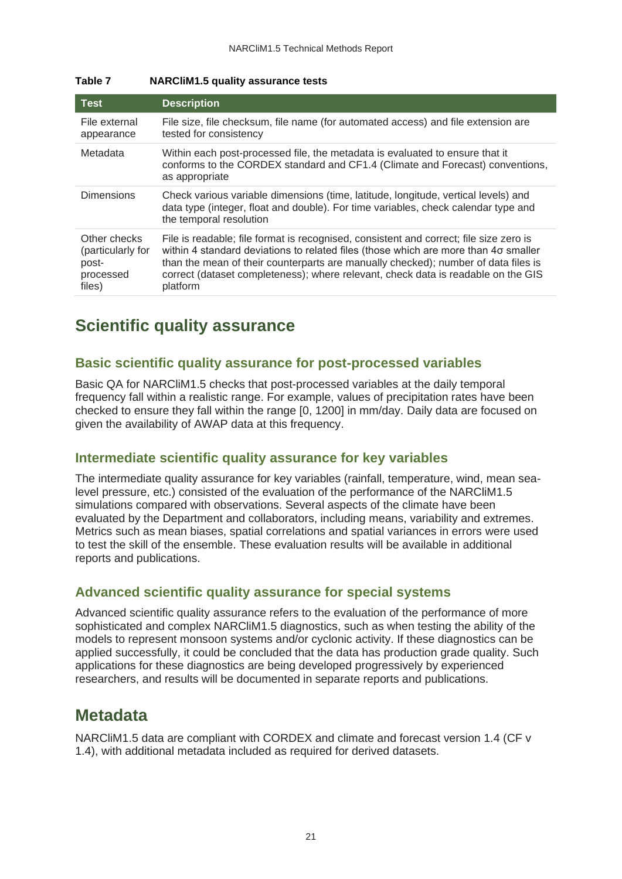| <b>Test</b>                                                       | <b>Description</b>                                                                                                                                                                                                                                                                                                                                                   |
|-------------------------------------------------------------------|----------------------------------------------------------------------------------------------------------------------------------------------------------------------------------------------------------------------------------------------------------------------------------------------------------------------------------------------------------------------|
| File external<br>appearance                                       | File size, file checksum, file name (for automated access) and file extension are<br>tested for consistency                                                                                                                                                                                                                                                          |
| Metadata                                                          | Within each post-processed file, the metadata is evaluated to ensure that it<br>conforms to the CORDEX standard and CF1.4 (Climate and Forecast) conventions,<br>as appropriate                                                                                                                                                                                      |
| <b>Dimensions</b>                                                 | Check various variable dimensions (time, latitude, longitude, vertical levels) and<br>data type (integer, float and double). For time variables, check calendar type and<br>the temporal resolution                                                                                                                                                                  |
| Other checks<br>(particularly for<br>post-<br>processed<br>files) | File is readable; file format is recognised, consistent and correct; file size zero is<br>within 4 standard deviations to related files (those which are more than 4o smaller<br>than the mean of their counterparts are manually checked); number of data files is<br>correct (dataset completeness); where relevant, check data is readable on the GIS<br>platform |

#### <span id="page-20-2"></span>**Table 7 NARCliM1.5 quality assurance tests**

### <span id="page-20-0"></span>**Scientific quality assurance**

#### **Basic scientific quality assurance for post-processed variables**

Basic QA for NARCliM1.5 checks that post-processed variables at the daily temporal frequency fall within a realistic range. For example, values of precipitation rates have been checked to ensure they fall within the range [0, 1200] in mm/day. Daily data are focused on given the availability of AWAP data at this frequency.

#### **Intermediate scientific quality assurance for key variables**

The intermediate quality assurance for key variables (rainfall, temperature, wind, mean sealevel pressure, etc.) consisted of the evaluation of the performance of the NARCliM1.5 simulations compared with observations. Several aspects of the climate have been evaluated by the Department and collaborators, including means, variability and extremes. Metrics such as mean biases, spatial correlations and spatial variances in errors were used to test the skill of the ensemble. These evaluation results will be available in additional reports and publications.

#### **Advanced scientific quality assurance for special systems**

Advanced scientific quality assurance refers to the evaluation of the performance of more sophisticated and complex NARCliM1.5 diagnostics, such as when testing the ability of the models to represent monsoon systems and/or cyclonic activity. If these diagnostics can be applied successfully, it could be concluded that the data has production grade quality. Such applications for these diagnostics are being developed progressively by experienced researchers, and results will be documented in separate reports and publications.

### <span id="page-20-1"></span>**Metadata**

NARCliM1.5 data are compliant with CORDEX and climate and forecast version 1.4 (CF v 1.4), with additional metadata included as required for derived datasets.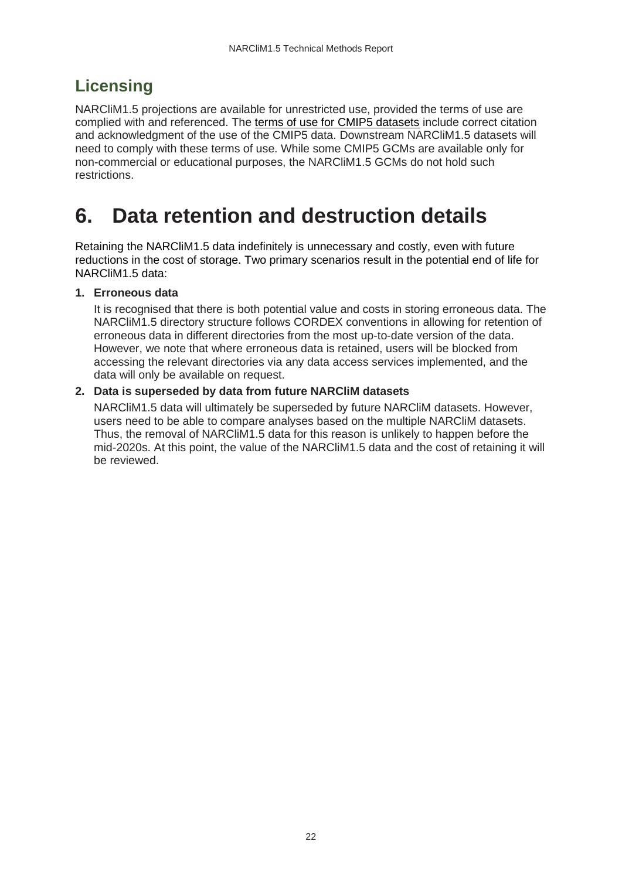## <span id="page-21-0"></span>**Licensing**

NARCliM1.5 projections are available for unrestricted use, provided the terms of use are complied with and referenced. The [terms of use for CMIP5 datasets](https://pcmdi.llnl.gov/mips/cmip5/terms-of-use.html) include correct citation and acknowledgment of the use of the CMIP5 data. Downstream NARCliM1.5 datasets will need to comply with these terms of use. While some CMIP5 GCMs are available only for non-commercial or educational purposes, the NARCliM1.5 GCMs do not hold such restrictions.

## <span id="page-21-1"></span>**6. Data retention and destruction details**

Retaining the NARCliM1.5 data indefinitely is unnecessary and costly, even with future reductions in the cost of storage. Two primary scenarios result in the potential end of life for NARCliM1.5 data:

#### **1. Erroneous data**

It is recognised that there is both potential value and costs in storing erroneous data. The NARCliM1.5 directory structure follows CORDEX conventions in allowing for retention of erroneous data in different directories from the most up-to-date version of the data. However, we note that where erroneous data is retained, users will be blocked from accessing the relevant directories via any data access services implemented, and the data will only be available on request.

#### **2. Data is superseded by data from future NARCliM datasets**

NARCliM1.5 data will ultimately be superseded by future NARCliM datasets. However, users need to be able to compare analyses based on the multiple NARCliM datasets. Thus, the removal of NARCliM1.5 data for this reason is unlikely to happen before the mid-2020s. At this point, the value of the NARCliM1.5 data and the cost of retaining it will be reviewed.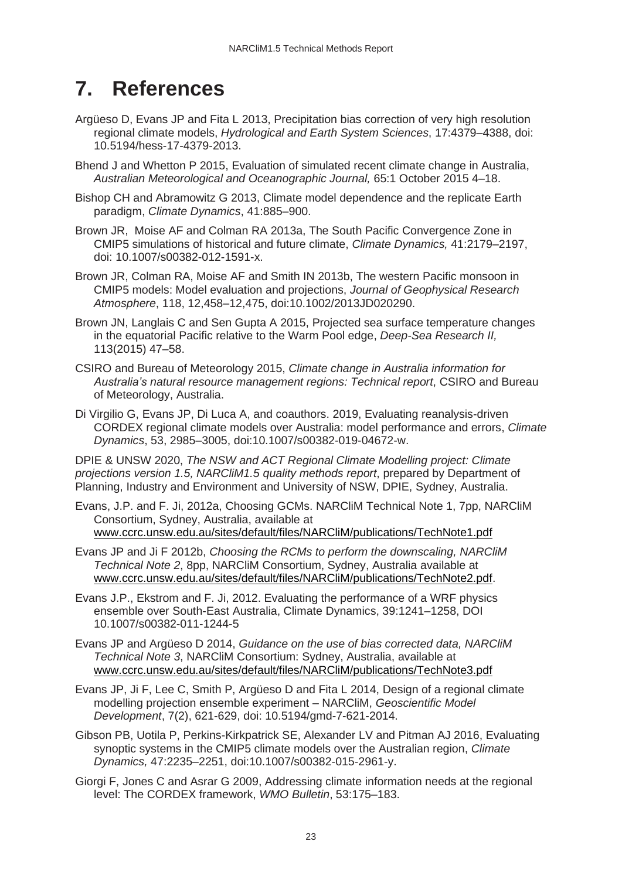## <span id="page-22-0"></span>**7. References**

- Argüeso D, Evans JP and Fita L 2013, Precipitation bias correction of very high resolution regional climate models, *Hydrological and Earth System Sciences*, 17:4379–4388, doi: 10.5194/hess-17-4379-2013.
- Bhend J and Whetton P 2015, Evaluation of simulated recent climate change in Australia, *Australian Meteorological and Oceanographic Journal,* 65:1 October 2015 4–18.
- Bishop CH and Abramowitz G 2013, Climate model dependence and the replicate Earth paradigm, *Climate Dynamics*, 41:885–900.
- Brown JR, Moise AF and Colman RA 2013a, The South Pacific Convergence Zone in CMIP5 simulations of historical and future climate, *Climate Dynamics,* 41:2179–2197, doi: 10.1007/s00382-012-1591-x.
- Brown JR, Colman RA, Moise AF and Smith IN 2013b, The western Pacific monsoon in CMIP5 models: Model evaluation and projections, *Journal of Geophysical Research Atmosphere*, 118, 12,458–12,475, doi:10.1002/2013JD020290.
- Brown JN, Langlais C and Sen Gupta A 2015, Projected sea surface temperature changes in the equatorial Pacific relative to the Warm Pool edge, *Deep-Sea Research II,* 113(2015) 47–58.
- CSIRO and Bureau of Meteorology 2015, *Climate change in Australia information for Australia's natural resource management regions: Technical report*, CSIRO and Bureau of Meteorology, Australia.
- Di Virgilio G, Evans JP, Di Luca A, and coauthors. 2019, Evaluating reanalysis-driven CORDEX regional climate models over Australia: model performance and errors, *Climate Dynamics*, 53, 2985–3005, doi:10.1007/s00382-019-04672-w.

DPIE & UNSW 2020, *The NSW and ACT Regional Climate Modelling project: Climate projections version 1.5, NARCliM1.5 quality methods report*, prepared by Department of Planning, Industry and Environment and University of NSW, DPIE, Sydney, Australia.

- Evans, J.P. and F. Ji, 2012a, Choosing GCMs. NARCliM Technical Note 1, 7pp, NARCliM Consortium, Sydney, Australia, available at [www.ccrc.unsw.edu.au/sites/default/files/NARCliM/publications/TechNote1.pdf](http://www.ccrc.unsw.edu.au/sites/default/files/NARCliM/publications/TechNote1.pdf)
- Evans JP and Ji F 2012b, *Choosing the RCMs to perform the downscaling, NARCliM Technical Note 2*, 8pp, NARCliM Consortium, Sydney, Australia available at [www.ccrc.unsw.edu.au/sites/default/files/NARCliM/publications/TechNote2.pdf.](http://www.ccrc.unsw.edu.au/sites/default/files/NARCliM/publications/TechNote2.pdf)
- Evans J.P., Ekstrom and F. Ji, 2012. Evaluating the performance of a WRF physics ensemble over South-East Australia, Climate Dynamics, 39:1241–1258, DOI 10.1007/s00382-011-1244-5
- Evans JP and Argüeso D 2014, *Guidance on the use of bias corrected data, NARCliM Technical Note 3*, NARCliM Consortium: Sydney, Australia, available at [www.ccrc.unsw.edu.au/sites/default/files/NARCliM/publications/TechNote3.pdf](http://www.ccrc.unsw.edu.au/sites/default/files/NARCliM/publications/TechNote3.pdf)
- Evans JP, Ji F, Lee C, Smith P, Argüeso D and Fita L 2014, Design of a regional climate modelling projection ensemble experiment – NARCliM, *Geoscientific Model Development*, 7(2), 621-629, doi: 10.5194/gmd-7-621-2014.
- Gibson PB, Uotila P, Perkins-Kirkpatrick SE, Alexander LV and Pitman AJ 2016, Evaluating synoptic systems in the CMIP5 climate models over the Australian region, *Climate Dynamics,* 47:2235–2251, doi:10.1007/s00382-015-2961-y.
- Giorgi F, Jones C and Asrar G 2009, Addressing climate information needs at the regional level: The CORDEX framework, *WMO Bulletin*, 53:175–183.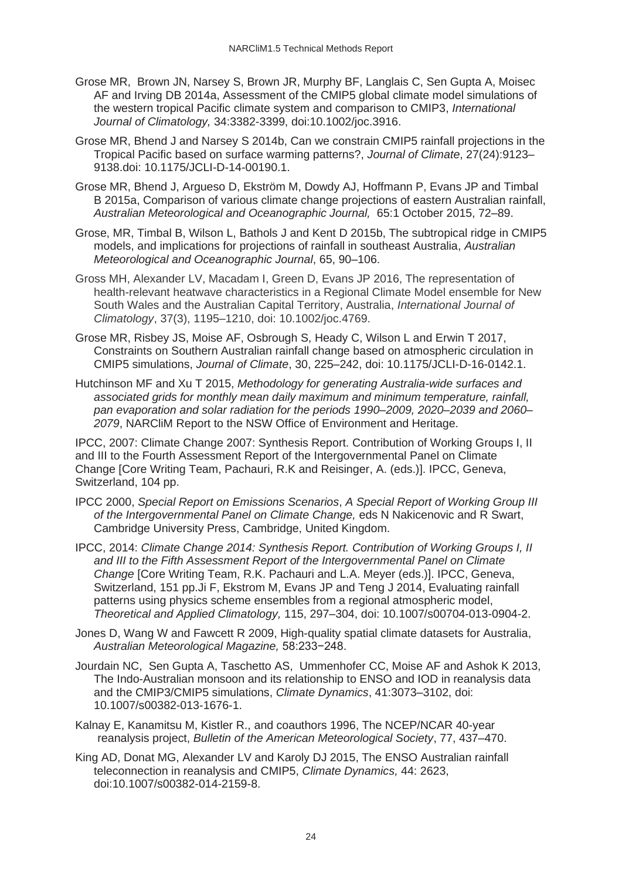- Grose MR, Brown JN, Narsey S, Brown JR, Murphy BF, Langlais C, Sen Gupta A, Moisec AF and Irving DB 2014a, Assessment of the CMIP5 global climate model simulations of the western tropical Pacific climate system and comparison to CMIP3, *International Journal of Climatology,* 34:3382-3399, doi:10.1002/joc.3916.
- Grose MR, Bhend J and Narsey S 2014b, Can we constrain CMIP5 rainfall projections in the Tropical Pacific based on surface warming patterns?, *Journal of Climate*, 27(24):9123– 9138.doi: 10.1175/JCLI-D-14-00190.1.
- Grose MR, Bhend J, Argueso D, Ekström M, Dowdy AJ, Hoffmann P, Evans JP and Timbal B 2015a, Comparison of various climate change projections of eastern Australian rainfall, *Australian Meteorological and Oceanographic Journal,* 65:1 October 2015, 72–89.
- Grose, MR, Timbal B, Wilson L, Bathols J and Kent D 2015b, The subtropical ridge in CMIP5 models, and implications for projections of rainfall in southeast Australia, *Australian Meteorological and Oceanographic Journal*, 65, 90–106.
- Gross MH, Alexander LV, Macadam I, Green D, Evans JP 2016, The representation of health-relevant heatwave characteristics in a Regional Climate Model ensemble for New South Wales and the Australian Capital Territory, Australia, *International Journal of Climatology*, 37(3), 1195–1210, doi: 10.1002/joc.4769.
- Grose MR, Risbey JS, Moise AF, Osbrough S, Heady C, Wilson L and Erwin T 2017, Constraints on Southern Australian rainfall change based on atmospheric circulation in CMIP5 simulations, *Journal of Climate*, 30, 225–242, doi: 10.1175/JCLI-D-16-0142.1.
- Hutchinson MF and Xu T 2015, *Methodology for generating Australia-wide surfaces and associated grids for monthly mean daily maximum and minimum temperature, rainfall, pan evaporation and solar radiation for the periods 1990–2009, 2020–2039 and 2060– 2079*, NARCliM Report to the NSW Office of Environment and Heritage.

IPCC, 2007: Climate Change 2007: Synthesis Report. Contribution of Working Groups I, II and III to the Fourth Assessment Report of the Intergovernmental Panel on Climate Change [Core Writing Team, Pachauri, R.K and Reisinger, A. (eds.)]. IPCC, Geneva, Switzerland, 104 pp.

- IPCC 2000, *Special Report on Emissions Scenarios*, *A Special Report of Working Group III of the Intergovernmental Panel on Climate Change,* eds N Nakicenovic and R Swart, Cambridge University Press, Cambridge, United Kingdom.
- IPCC, 2014: *Climate Change 2014: Synthesis Report. Contribution of Working Groups I, II and III to the Fifth Assessment Report of the Intergovernmental Panel on Climate Change* [Core Writing Team, R.K. Pachauri and L.A. Meyer (eds.)]. IPCC, Geneva, Switzerland, 151 pp.Ji F, Ekstrom M, Evans JP and Teng J 2014, Evaluating rainfall patterns using physics scheme ensembles from a regional atmospheric model, *[Theoretical and Applied Climatology,](https://link.springer.com/journal/704)* 115, 297–304, doi: 10.1007/s00704-013-0904-2.
- Jones D, Wang W and Fawcett R 2009, High-quality spatial climate datasets for Australia, *Australian Meteorological Magazine,* 58:233−248.
- Jourdain NC, Sen Gupta A, Taschetto AS, Ummenhofer CC, Moise AF and Ashok K 2013, The Indo-Australian monsoon and its relationship to ENSO and IOD in reanalysis data and the CMIP3/CMIP5 simulations, *Climate Dynamics*, 41:3073–3102, doi: 10.1007/s00382-013-1676-1.
- Kalnay E, Kanamitsu M, Kistler R., and coauthors 1996, The NCEP/NCAR 40-year reanalysis project, *Bulletin of the American Meteorological Society*, 77, 437–470.
- King AD, Donat MG, Alexander LV and Karoly DJ 2015, The ENSO Australian rainfall teleconnection in reanalysis and CMIP5, *Climate Dynamics,* 44: 2623, doi:10.1007/s00382-014-2159-8.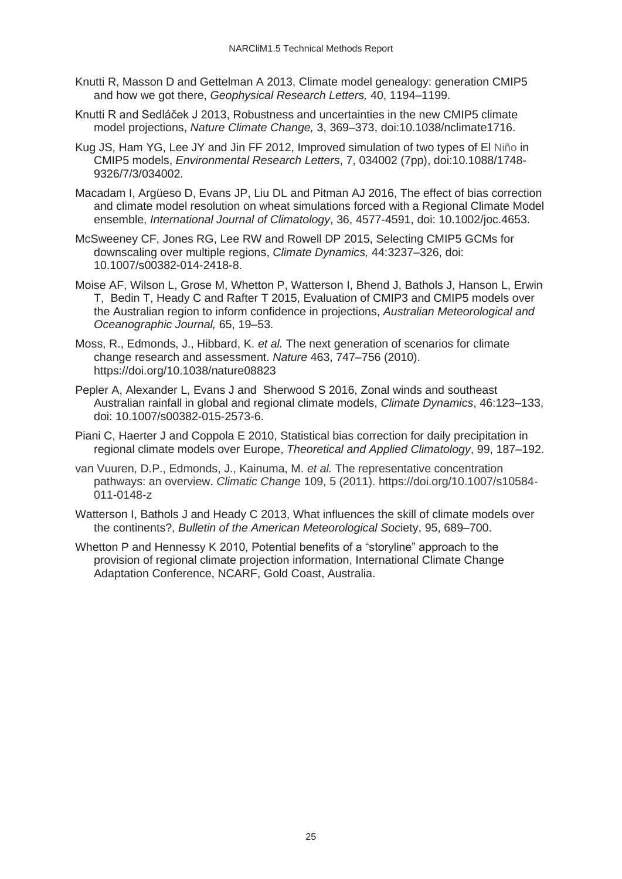- Knutti R, Masson D and Gettelman A 2013, Climate model genealogy: generation CMIP5 and how we got there, *Geophysical Research Letters,* 40, 1194–1199.
- Knutti R and Sedláček J 2013, Robustness and uncertainties in the new CMIP5 climate model projections, *Nature Climate Change,* 3, 369–373, doi:10.1038/nclimate1716.
- Kug JS, Ham YG, Lee JY and Jin FF 2012, Improved simulation of two types of El Niño in CMIP5 models, *Environmental Research Letters*, 7, 034002 (7pp), doi:10.1088/1748- 9326/7/3/034002.
- Macadam I, Argüeso D, Evans JP, Liu DL and Pitman AJ 2016, The effect of bias correction and climate model resolution on wheat simulations forced with a Regional Climate Model ensemble, *International Journal of Climatology*, 36, 4577-4591, doi: 10.1002/joc.4653.
- McSweeney CF, Jones RG, Lee RW and Rowell DP 2015, Selecting CMIP5 GCMs for downscaling over multiple regions, *Climate Dynamics,* 44:3237–326, doi: 10.1007/s00382-014-2418-8.
- Moise AF, Wilson L, Grose M, Whetton P, Watterson I, Bhend J, Bathols J, Hanson L, Erwin T, Bedin T, Heady C and Rafter T 2015, Evaluation of CMIP3 and CMIP5 models over the Australian region to inform confidence in projections, *Australian Meteorological and Oceanographic Journal,* 65, 19–53.
- Moss, R., Edmonds, J., Hibbard, K. *et al.* The next generation of scenarios for climate change research and assessment. *Nature* 463, 747–756 (2010). https://doi.org/10.1038/nature08823
- Pepler A, Alexander L, Evans J and Sherwood S 2016, Zonal winds and southeast Australian rainfall in global and regional climate models, *Climate Dynamics*, 46:123–133, doi: 10.1007/s00382-015-2573-6.
- Piani C, Haerter J and Coppola E 2010, Statistical bias correction for daily precipitation in regional climate models over Europe, *Theoretical and Applied Climatology*, 99, 187–192.
- van Vuuren, D.P., Edmonds, J., Kainuma, M. *et al.* The representative concentration pathways: an overview. *Climatic Change* 109, 5 (2011). https://doi.org/10.1007/s10584- 011-0148-z
- Watterson I, Bathols J and Heady C 2013, What influences the skill of climate models over the continents?, *Bulletin of the American Meteorological Soc*iety, 95, 689–700.
- Whetton P and Hennessy K 2010, Potential benefits of a "storyline" approach to the provision of regional climate projection information, International Climate Change Adaptation Conference, NCARF, Gold Coast, Australia.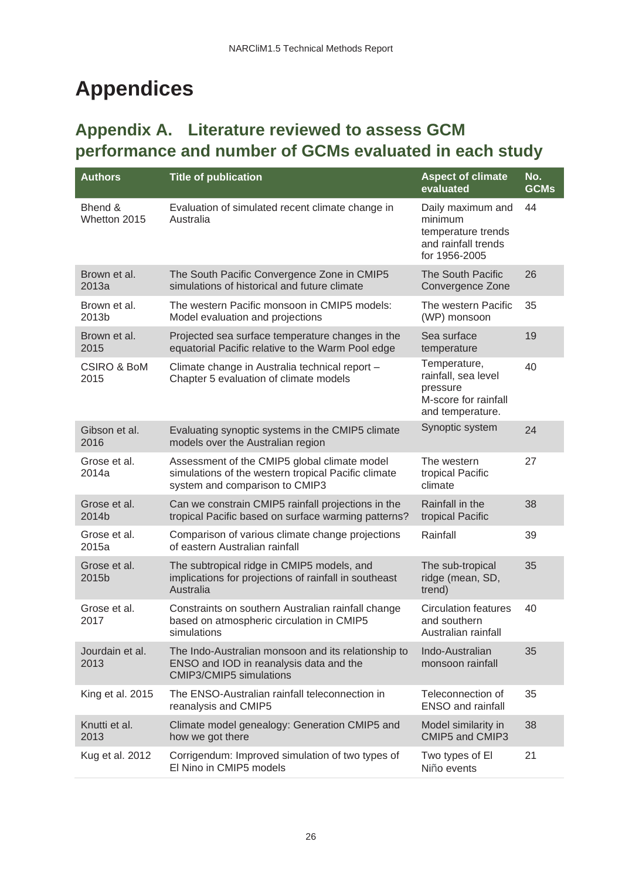# <span id="page-25-0"></span>**Appendices**

## <span id="page-25-1"></span>**Appendix A. Literature reviewed to assess GCM performance and number of GCMs evaluated in each study**

| <b>Authors</b>                 | <b>Title of publication</b>                                                                                                           | <b>Aspect of climate</b><br>evaluated                                                       | No.<br><b>GCMs</b> |
|--------------------------------|---------------------------------------------------------------------------------------------------------------------------------------|---------------------------------------------------------------------------------------------|--------------------|
| Bhend &<br>Whetton 2015        | Evaluation of simulated recent climate change in<br>Australia                                                                         | Daily maximum and<br>minimum<br>temperature trends<br>and rainfall trends<br>for 1956-2005  | 44                 |
| Brown et al.<br>2013a          | The South Pacific Convergence Zone in CMIP5<br>simulations of historical and future climate                                           | The South Pacific<br>Convergence Zone                                                       | 26                 |
| Brown et al.<br>2013b          | The western Pacific monsoon in CMIP5 models:<br>Model evaluation and projections                                                      | The western Pacific<br>(WP) monsoon                                                         | 35                 |
| Brown et al.<br>2015           | Projected sea surface temperature changes in the<br>equatorial Pacific relative to the Warm Pool edge                                 | Sea surface<br>temperature                                                                  | 19                 |
| <b>CSIRO &amp; BoM</b><br>2015 | Climate change in Australia technical report -<br>Chapter 5 evaluation of climate models                                              | Temperature,<br>rainfall, sea level<br>pressure<br>M-score for rainfall<br>and temperature. | 40                 |
| Gibson et al.<br>2016          | Evaluating synoptic systems in the CMIP5 climate<br>models over the Australian region                                                 | Synoptic system                                                                             | 24                 |
| Grose et al.<br>2014a          | Assessment of the CMIP5 global climate model<br>simulations of the western tropical Pacific climate<br>system and comparison to CMIP3 | The western<br>tropical Pacific<br>climate                                                  | 27                 |
| Grose et al.<br>2014b          | Can we constrain CMIP5 rainfall projections in the<br>tropical Pacific based on surface warming patterns?                             | Rainfall in the<br>tropical Pacific                                                         | 38                 |
| Grose et al.<br>2015a          | Comparison of various climate change projections<br>of eastern Australian rainfall                                                    | Rainfall                                                                                    | 39                 |
| Grose et al.<br>2015b          | The subtropical ridge in CMIP5 models, and<br>implications for projections of rainfall in southeast<br>Australia                      | The sub-tropical<br>ridge (mean, SD,<br>trend)                                              | 35                 |
| Grose et al.<br>2017           | Constraints on southern Australian rainfall change<br>based on atmospheric circulation in CMIP5<br>simulations                        | <b>Circulation features</b><br>and southern<br>Australian rainfall                          | 40                 |
| Jourdain et al.<br>2013        | The Indo-Australian monsoon and its relationship to<br>ENSO and IOD in reanalysis data and the<br><b>CMIP3/CMIP5</b> simulations      | Indo-Australian<br>monsoon rainfall                                                         | 35                 |
| King et al. 2015               | The ENSO-Australian rainfall teleconnection in<br>reanalysis and CMIP5                                                                | Teleconnection of<br><b>ENSO and rainfall</b>                                               | 35                 |
| Knutti et al.<br>2013          | Climate model genealogy: Generation CMIP5 and<br>how we got there                                                                     | Model similarity in<br>CMIP5 and CMIP3                                                      | 38                 |
| Kug et al. 2012                | Corrigendum: Improved simulation of two types of<br>El Nino in CMIP5 models                                                           | Two types of El<br>Niño events                                                              | 21                 |